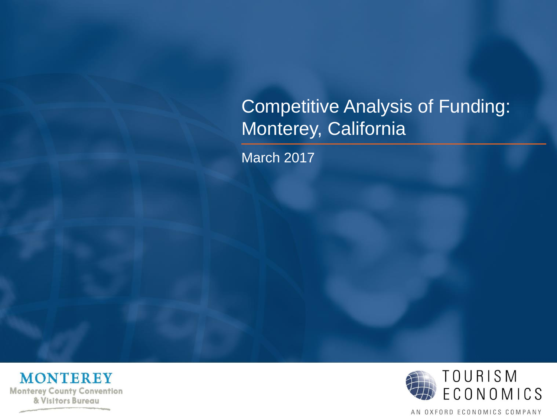# Competitive Analysis of Funding: Monterey, California

March 2017



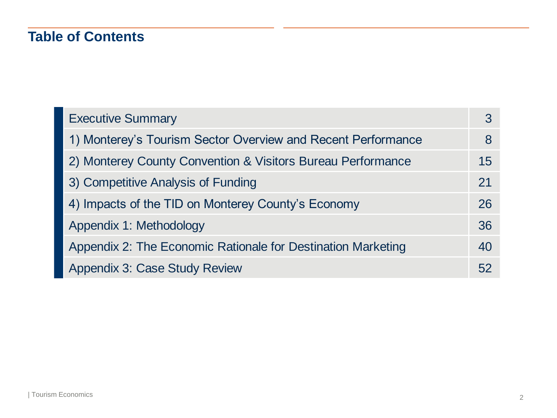# **Table of Contents**

| <b>Executive Summary</b>                                     |    |
|--------------------------------------------------------------|----|
| 1) Monterey's Tourism Sector Overview and Recent Performance | 8  |
| 2) Monterey County Convention & Visitors Bureau Performance  | 15 |
| 3) Competitive Analysis of Funding                           | 21 |
| 4) Impacts of the TID on Monterey County's Economy           | 26 |
| Appendix 1: Methodology                                      | 36 |
| Appendix 2: The Economic Rationale for Destination Marketing | 40 |
| <b>Appendix 3: Case Study Review</b>                         | 52 |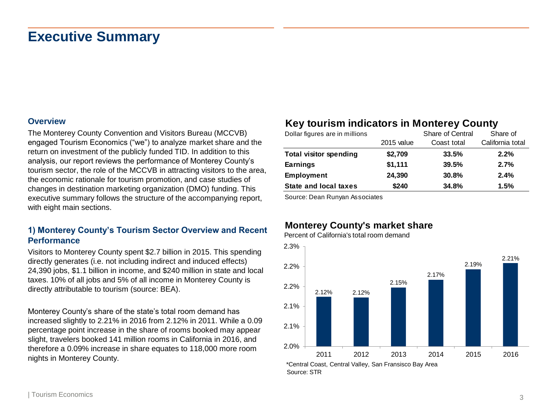#### **Overview**

The Monterey County Convention and Visitors Bureau (MCCVB) engaged Tourism Economics ("we") to analyze market share and the return on investment of the publicly funded TID. In addition to this analysis, our report reviews the performance of Monterey County's tourism sector, the role of the MCCVB in attracting visitors to the area, the economic rationale for tourism promotion, and case studies of changes in destination marketing organization (DMO) funding. This executive summary follows the structure of the accompanying report, with eight main sections.

#### **1) Monterey County's Tourism Sector Overview and Recent Performance**

Visitors to Monterey County spent \$2.7 billion in 2015. This spending directly generates (i.e. not including indirect and induced effects) 24,390 jobs, \$1.1 billion in income, and \$240 million in state and local taxes. 10% of all jobs and 5% of all income in Monterey County is directly attributable to tourism (source: BEA).

Monterey County's share of the state's total room demand has increased slightly to 2.21% in 2016 from 2.12% in 2011. While a 0.09 percentage point increase in the share of rooms booked may appear slight, travelers booked 141 million rooms in California in 2016, and therefore a 0.09% increase in share equates to 118,000 more room nights in Monterey County.

### **Key tourism indicators in Monterey County**

| Dollar figures are in millions |            | Share of Central | Share of         |
|--------------------------------|------------|------------------|------------------|
|                                | 2015 value | Coast total      | California total |
| <b>Total visitor spending</b>  | \$2,709    | 33.5%            | 2.2%             |
| <b>Earnings</b>                | \$1,111    | 39.5%            | 2.7%             |
| <b>Employment</b>              | 24,390     | 30.8%            | 2.4%             |
| <b>State and local taxes</b>   | \$240      | 34.8%            | 1.5%             |

Source: Dean Runyan Associates

### **Monterey County's market share**

Percent of California's total room demand

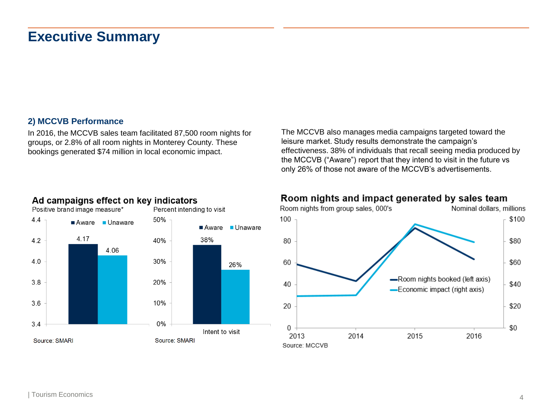#### **2) MCCVB Performance**

In 2016, the MCCVB sales team facilitated 87,500 room nights for groups, or 2.8% of all room nights in Monterey County. These bookings generated \$74 million in local economic impact.

The MCCVB also manages media campaigns targeted toward the leisure market. Study results demonstrate the campaign's effectiveness. 38% of individuals that recall seeing media produced by the MCCVB ("Aware") report that they intend to visit in the future vs only 26% of those not aware of the MCCVB's advertisements.



### Ad campaigns effect on key indicators



### Room nights and impact generated by sales team

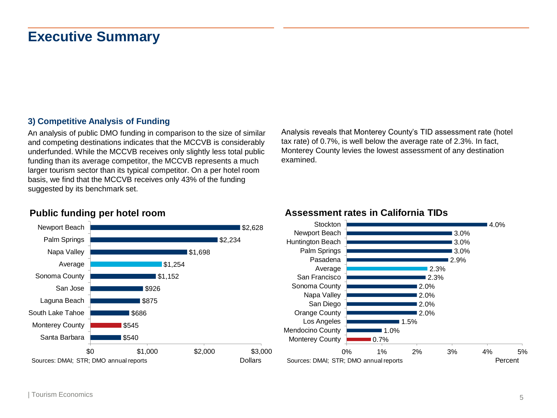### **3) Competitive Analysis of Funding**

An analysis of public DMO funding in comparison to the size of similar and competing destinations indicates that the MCCVB is considerably underfunded. While the MCCVB receives only slightly less total public funding than its average competitor, the MCCVB represents a much larger tourism sector than its typical competitor. On a per hotel room basis, we find that the MCCVB receives only 43% of the funding suggested by its benchmark set.

Analysis reveals that Monterey County's TID assessment rate (hotel tax rate) of 0.7%, is well below the average rate of 2.3%. In fact, Monterey County levies the lowest assessment of any destination examined.

### **Public funding per hotel room**



### **Assessment rates in California TIDs**

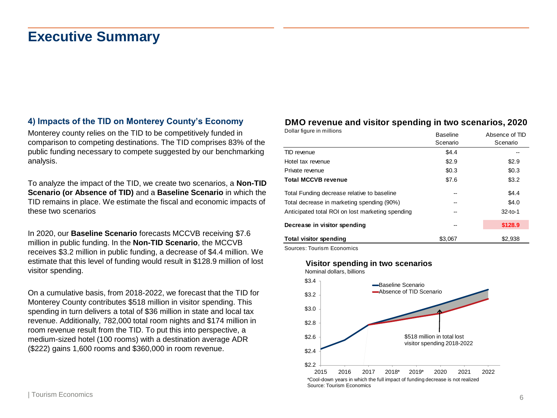### **4) Impacts of the TID on Monterey County's Economy**

Monterey county relies on the TID to be competitively funded in comparison to competing destinations. The TID comprises 83% of the public funding necessary to compete suggested by our benchmarking analysis.

To analyze the impact of the TID, we create two scenarios, a **Non-TID Scenario (or Absence of TID)** and a **Baseline Scenario** in which the TID remains in place. We estimate the fiscal and economic impacts of these two scenarios

In 2020, our **Baseline Scenario** forecasts MCCVB receiving \$7.6 million in public funding. In the **Non-TID Scenario**, the MCCVB receives \$3.2 million in public funding, a decrease of \$4.4 million. We estimate that this level of funding would result in \$128.9 million of lost visitor spending.

On a cumulative basis, from 2018-2022, we forecast that the TID for Monterey County contributes \$518 million in visitor spending. This spending in turn delivers a total of \$36 million in state and local tax revenue. Additionally, 782,000 total room nights and \$174 million in room revenue result from the TID. To put this into perspective, a medium-sized hotel (100 rooms) with a destination average ADR (\$222) gains 1,600 rooms and \$360,000 in room revenue.

### **DMO revenue and visitor spending in two scenarios, 2020**

| Dollar figure in millions                        | <b>Baseline</b><br>Scenario | Absence of TID<br>Scenario |
|--------------------------------------------------|-----------------------------|----------------------------|
| TID revenue                                      | \$4.4                       |                            |
| Hotel tax revenue                                | \$2.9                       | \$2.9                      |
| Private revenue                                  | \$0.3                       | \$0.3                      |
| <b>Total MCCVB revenue</b>                       | \$7.6                       | \$3.2                      |
| Total Funding decrease relative to baseline      | --                          | \$4.4                      |
| Total decrease in marketing spending (90%)       | --                          | \$4.0                      |
| Anticipated total ROI on lost marketing spending | --                          | $32-to-1$                  |
| Decrease in visitor spending                     |                             | \$128.9                    |
| Total visitor spending                           | \$3.067                     | \$2,938                    |

Sources: Tourism Economics

#### **Visitor spending in two scenarios**

Nominal dollars, billions

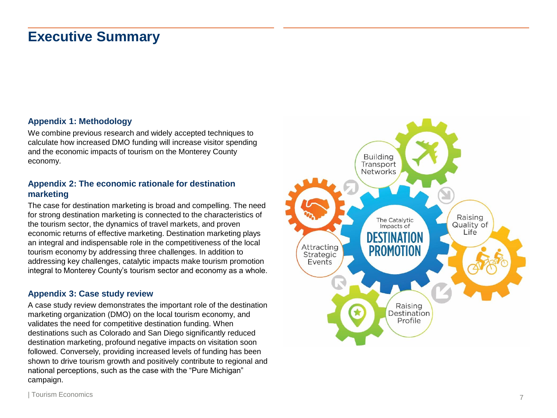#### **Appendix 1: Methodology**

We combine previous research and widely accepted techniques to calculate how increased DMO funding will increase visitor spending and the economic impacts of tourism on the Monterey County economy.

#### **Appendix 2: The economic rationale for destination marketing**

The case for destination marketing is broad and compelling. The need for strong destination marketing is connected to the characteristics of the tourism sector, the dynamics of travel markets, and proven economic returns of effective marketing. Destination marketing plays an integral and indispensable role in the competitiveness of the local tourism economy by addressing three challenges. In addition to addressing key challenges, catalytic impacts make tourism promotion integral to Monterey County's tourism sector and economy as a whole.

#### **Appendix 3: Case study review**

A case study review demonstrates the important role of the destination marketing organization (DMO) on the local tourism economy, and validates the need for competitive destination funding. When destinations such as Colorado and San Diego significantly reduced destination marketing, profound negative impacts on visitation soon followed. Conversely, providing increased levels of funding has been shown to drive tourism growth and positively contribute to regional and national perceptions, such as the case with the "Pure Michigan" campaign.

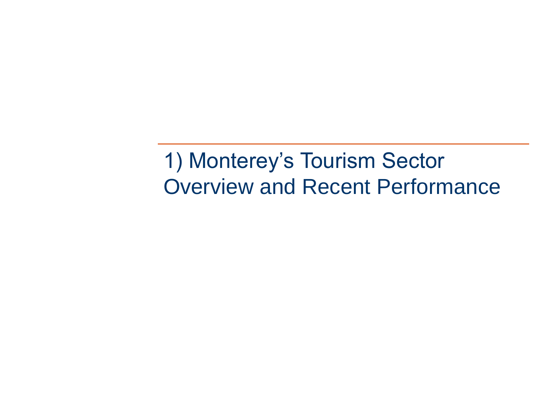1) Monterey's Tourism Sector Overview and Recent Performance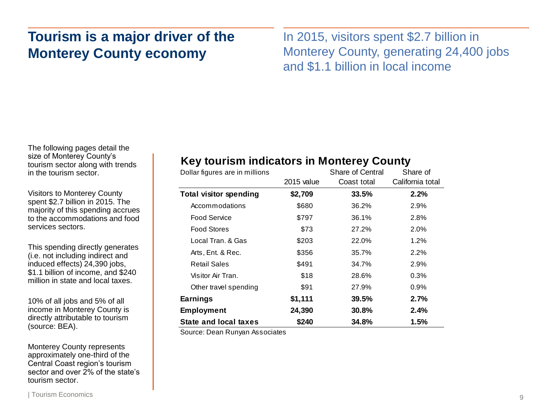# **Tourism is a major driver of the Monterey County economy**

In 2015, visitors spent \$2.7 billion in Monterey County, generating 24,400 jobs and \$1.1 billion in local income

The following pages detail the size of Monterey County's tourism sector along with trends in the tourism sector.

Visitors to Monterey County spent \$2.7 billion in 2015. The majority of this spending accrues to the accommodations and food services sectors.

This spending directly generates (i.e. not including indirect and induced effects) 24,390 jobs, \$1.1 billion of income, and \$240 million in state and local taxes.

10% of all jobs and 5% of all income in Monterey County is directly attributable to tourism (source: BEA).

Monterey County represents approximately one-third of the Central Coast region's tourism sector and over  $\tilde{2}$ % of the state's tourism sector.

### **Key tourism indicators in Monterey County**

| Dollar figures are in millions | Share of Central |             | Share of         |
|--------------------------------|------------------|-------------|------------------|
|                                | 2015 value       | Coast total | California total |
| <b>Total visitor spending</b>  | \$2,709          | 33.5%       | 2.2%             |
| Accommodations                 | \$680            | 36.2%       | 2.9%             |
| Food Service                   | \$797            | 36.1%       | 2.8%             |
| <b>Food Stores</b>             | \$73             | 27.2%       | 2.0%             |
| Local Tran, & Gas              | \$203            | 22.0%       | 1.2%             |
| Arts, Ent. & Rec.              | \$356            | 35.7%       | 2.2%             |
| <b>Retail Sales</b>            | \$491            | 34.7%       | 2.9%             |
| Visitor Air Tran.              | \$18             | 28.6%       | 0.3%             |
| Other travel spending          | \$91             | 27.9%       | $0.9\%$          |
| <b>Earnings</b>                | \$1,111          | 39.5%       | 2.7%             |
| <b>Employment</b>              | 24,390           | 30.8%       | 2.4%             |
| State and local taxes          | \$240            | 34.8%       | 1.5%             |

Source: Dean Runyan Associates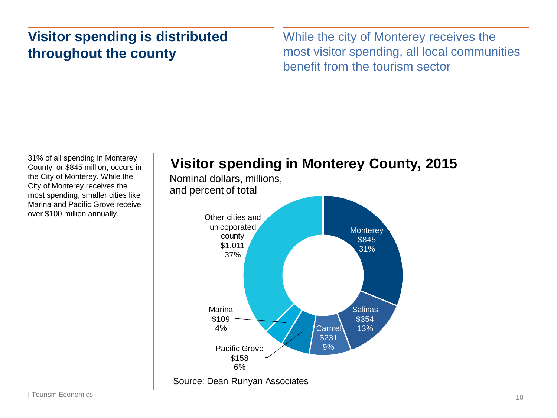# **Visitor spending is distributed throughout the county**

While the city of Monterey receives the most visitor spending, all local communities benefit from the tourism sector

31% of all spending in Monterey County, or \$845 million, occurs in the City of Monterey. While the City of Monterey receives the most spending, smaller cities like Marina and Pacific Grove receive over \$100 million annually.

# **Visitor spending in Monterey County, 2015**

Nominal dollars, millions, and percent of total

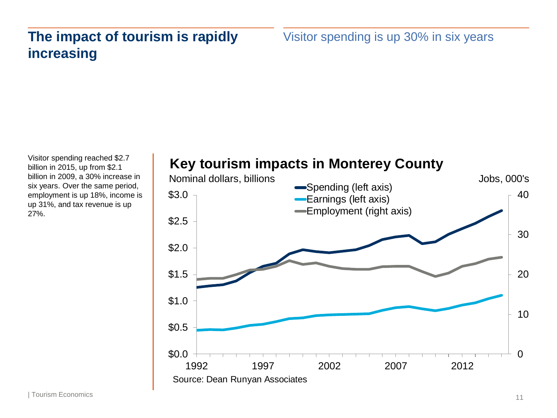# **The impact of tourism is rapidly increasing**

Visitor spending is up 30% in six years

Visitor spending reached \$2.7 billion in 2015, up from \$2.1 billion in 2009, a 30% increase in six years. Over the same period, employment is up 18%, income is up 31%, and tax revenue is up 27%.

# **Key tourism impacts in Monterey County**

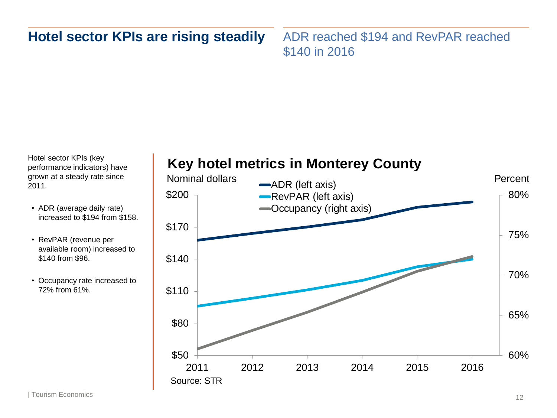# **Hotel sector KPIs are rising steadily**

ADR reached \$194 and RevPAR reached \$140 in 2016

Hotel sector KPIs (key performance indicators) have grown at a steady rate since 2011.

- ADR (average daily rate) increased to \$194 from \$158.
- RevPAR (revenue per available room) increased to \$140 from \$96.
- Occupancy rate increased to 72% from 61%.

# **Key hotel metrics in Monterey County**

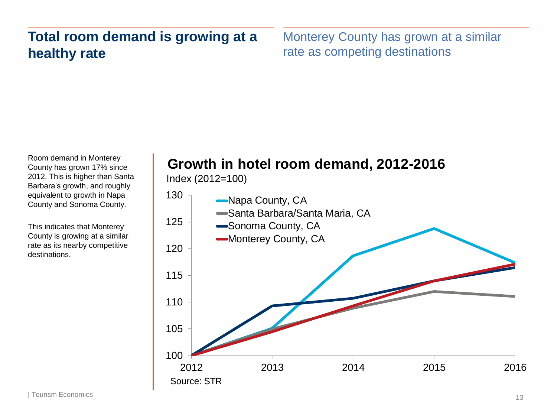# **Total room demand is growing at a healthy rate**

Monterey County has grown at a similar rate as competing destinations

Room demand in Monterey County has grown 17% since 2012. This is higher than Santa Barbara's growth, and roughly equivalent to growth in Napa County and Sonoma County.

This indicates that Monterey County is growing at a similar rate as its nearby competitive destinations.

# **Growth in hotel room demand, 2012-2016**

Index (2012=100)

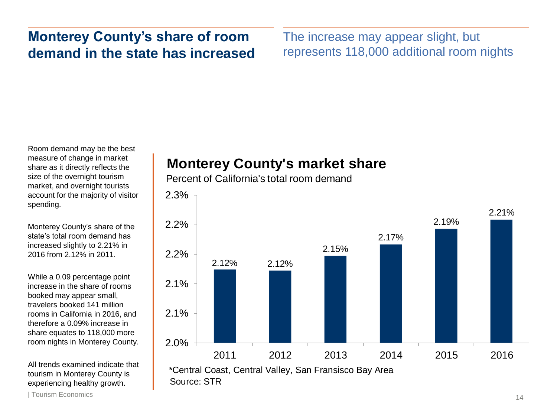# **Monterey County's share of room demand in the state has increased**

The increase may appear slight, but represents 118,000 additional room nights

Room demand may be the best measure of change in market share as it directly reflects the size of the overnight tourism market, and overnight tourists account for the majority of visitor spending.

Monterey County's share of the state's total room demand has increased slightly to 2.21% in 2016 from 2.12% in 2011.

While a 0.09 percentage point increase in the share of rooms booked may appear small, travelers booked 141 million rooms in California in 2016, and therefore a 0.09% increase in share equates to 118,000 more room nights in Monterey County.

All trends examined indicate that tourism in Monterey County is experiencing healthy growth.

# **Monterey County's market share**

Percent of California's total room demand

2.3%



| Tourism Economics 14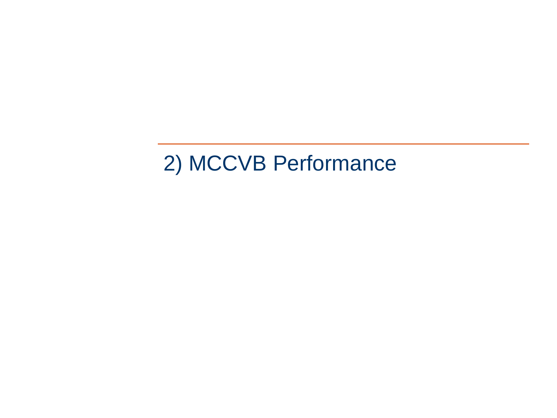# 2) MCCVB Performance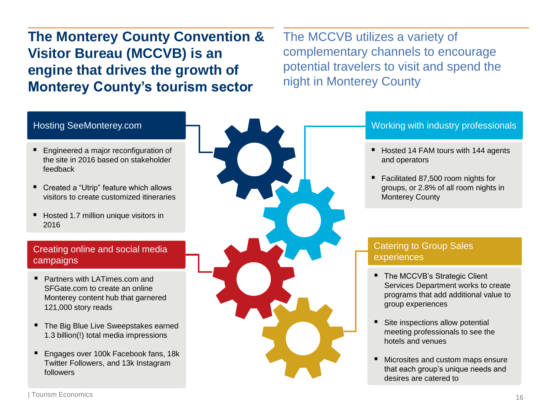**The Monterey County Convention & Visitor Bureau (MCCVB) is an engine that drives the growth of Monterey County's tourism sector**

The MCCVB utilizes a variety of complementary channels to encourage potential travelers to visit and spend the night in Monterey County

### Hosting SeeMonterey.com

- **Engineered a major reconfiguration of** the site in 2016 based on stakeholder feedback
- Created a "Utrip" feature which allows visitors to create customized itineraries
- Hosted 1.7 million unique visitors in 2016

### Creating online and social media campaigns

- Partners with LATimes.com and SFGate.com to create an online Monterey content hub that garnered 121,000 story reads
- The Big Blue Live Sweepstakes earned 1.3 billion(!) total media impressions
- Engages over 100k Facebook fans, 18k Twitter Followers, and 13k Instagram followers



### Working with industry professionals

- Hosted 14 FAM tours with 144 agents and operators
- Facilitated 87,500 room nights for groups, or 2.8% of all room nights in Monterey County

### Catering to Group Sales experiences

- The MCCVB's Strategic Client Services Department works to create programs that add additional value to group experiences
- Site inspections allow potential meeting professionals to see the hotels and venues
- Microsites and custom maps ensure that each group's unique needs and desires are catered to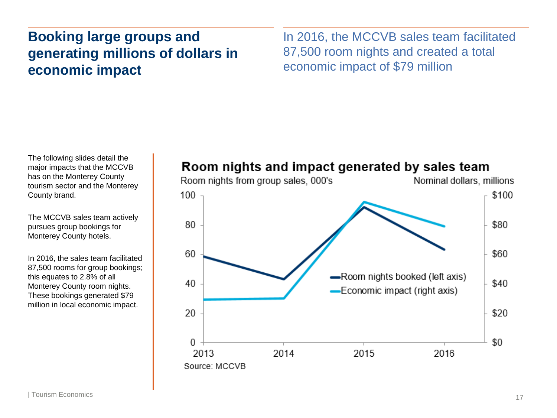# **Booking large groups and generating millions of dollars in economic impact**

In 2016, the MCCVB sales team facilitated 87,500 room nights and created a total economic impact of \$79 million

The following slides detail the major impacts that the MCCVB has on the Monterey County tourism sector and the Monterey County brand.

The MCCVB sales team actively pursues group bookings for Monterey County hotels.

In 2016, the sales team facilitated 87,500 rooms for group bookings; this equates to 2.8% of all Monterey County room nights. These bookings generated \$79 million in local economic impact.

### Room nights and impact generated by sales team

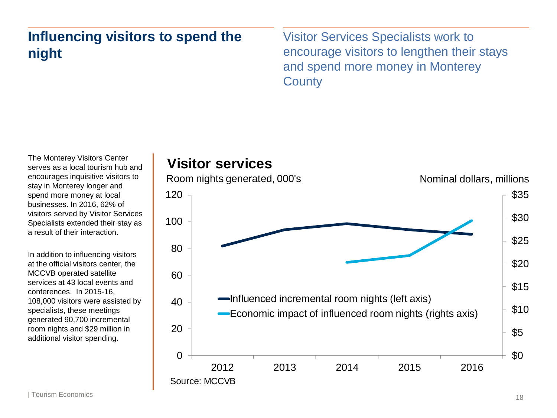# **Influencing visitors to spend the night**

Visitor Services Specialists work to encourage visitors to lengthen their stays and spend more money in Monterey **County** 

The Monterey Visitors Center serves as a local tourism hub and encourages inquisitive visitors to stay in Monterey longer and spend more money at local businesses. In 2016, 62% of visitors served by Visitor Services Specialists extended their stay as a result of their interaction.

In addition to influencing visitors at the official visitors center, the MCCVB operated satellite services at 43 local events and conferences. In 2015-16, 108,000 visitors were assisted by specialists, these meetings generated 90,700 incremental room nights and \$29 million in additional visitor spending.

# **Visitor services**

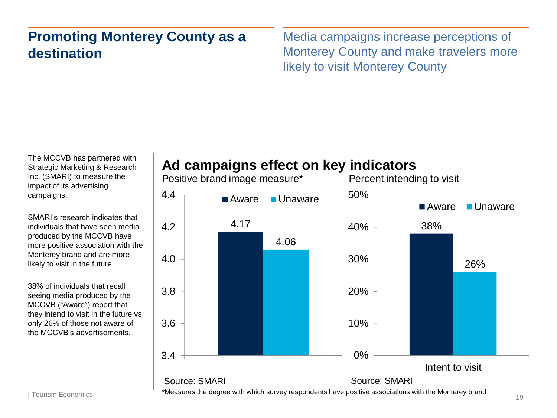# **Promoting Monterey County as a destination**

Media campaigns increase perceptions of Monterey County and make travelers more likely to visit Monterey County

The MCCVB has partnered with Strategic Marketing & Research Inc. (SMARI) to measure the impact of its advertising campaigns.

SMARI's research indicates that individuals that have seen media produced by the MCCVB have more positive association with the Monterey brand and are more likely to visit in the future.

38% of individuals that recall seeing media produced by the MCCVB ("Aware") report that they intend to visit in the future vs only 26% of those not aware of the MCCVB's advertisements.

# **Ad campaigns effect on key indicators**

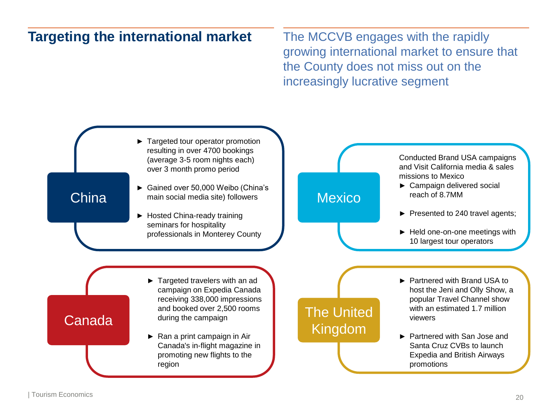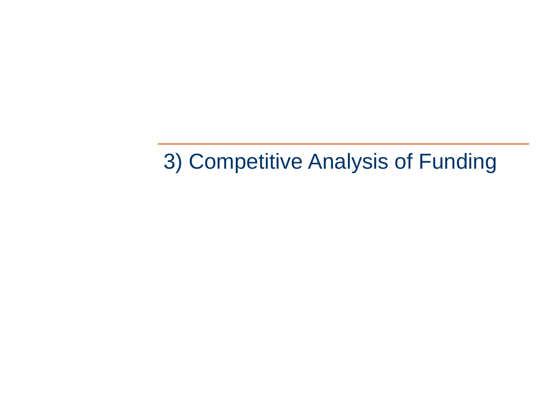3) Competitive Analysis of Funding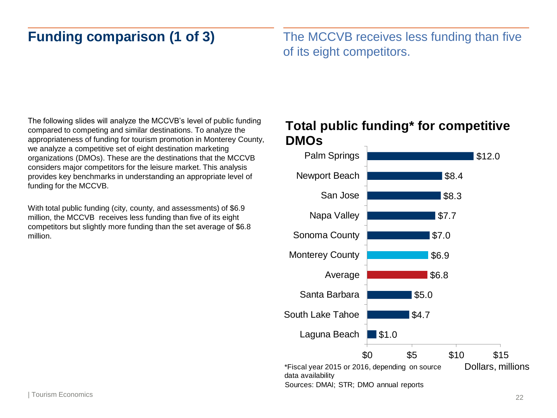# **Funding comparison (1 of 3)**

The MCCVB receives less funding than five of its eight competitors.

The following slides will analyze the MCCVB's level of public funding compared to competing and similar destinations. To analyze the appropriateness of funding for tourism promotion in Monterey County, we analyze a competitive set of eight destination marketing organizations (DMOs). These are the destinations that the MCCVB considers major competitors for the leisure market. This analysis provides key benchmarks in understanding an appropriate level of funding for the MCCVB.

With total public funding (city, county, and assessments) of \$6.9 million, the MCCVB receives less funding than five of its eight competitors but slightly more funding than the set average of \$6.8 million.

### **Total public funding\* for competitive DMOs**

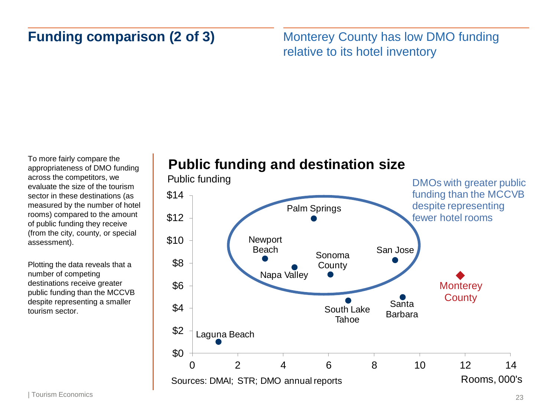# **Funding comparison (2 of 3)**

Monterey County has low DMO funding relative to its hotel inventory

To more fairly compare the appropriateness of DMO funding across the competitors, we evaluate the size of the tourism sector in these destinations (as measured by the number of hotel rooms) compared to the amount of public funding they receive (from the city, county, or special assessment).

Plotting the data reveals that a number of competing destinations receive greater public funding than the MCCVB despite representing a smaller tourism sector.

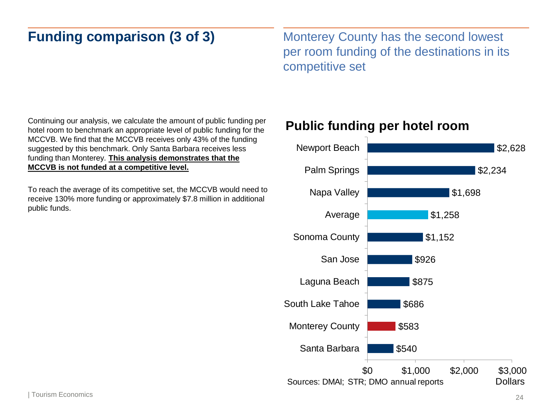# **Funding comparison (3 of 3)**

Monterey County has the second lowest per room funding of the destinations in its competitive set

Continuing our analysis, we calculate the amount of public funding per hotel room to benchmark an appropriate level of public funding for the MCCVB. We find that the MCCVB receives only 43% of the funding suggested by this benchmark. Only Santa Barbara receives less funding than Monterey. **This analysis demonstrates that the MCCVB is not funded at a competitive level.** 

To reach the average of its competitive set, the MCCVB would need to receive 130% more funding or approximately \$7.8 million in additional public funds.

### **Public funding per hotel room**

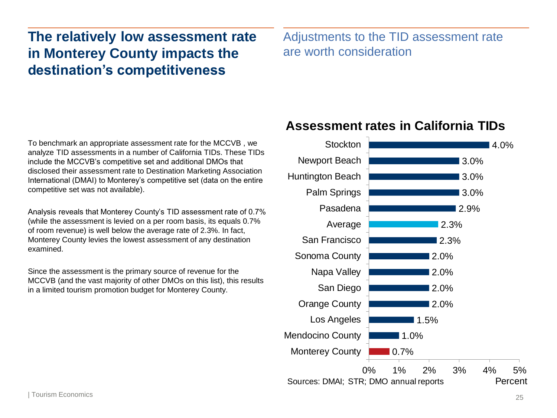# **The relatively low assessment rate in Monterey County impacts the destination's competitiveness**

Adjustments to the TID assessment rate are worth consideration

To benchmark an appropriate assessment rate for the MCCVB , we analyze TID assessments in a number of California TIDs. These TIDs include the MCCVB's competitive set and additional DMOs that disclosed their assessment rate to Destination Marketing Association International (DMAI) to Monterey's competitive set (data on the entire competitive set was not available).

Analysis reveals that Monterey County's TID assessment rate of 0.7% (while the assessment is levied on a per room basis, its equals 0.7% of room revenue) is well below the average rate of 2.3%. In fact, Monterey County levies the lowest assessment of any destination examined.

Since the assessment is the primary source of revenue for the MCCVB (and the vast majority of other DMOs on this list), this results in a limited tourism promotion budget for Monterey County.

### **Assessment rates in California TIDs**

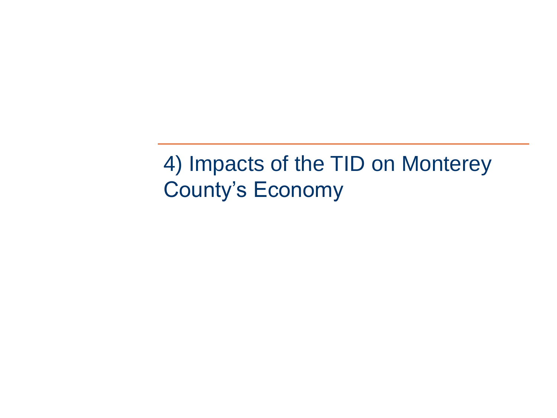4) Impacts of the TID on Monterey County's Economy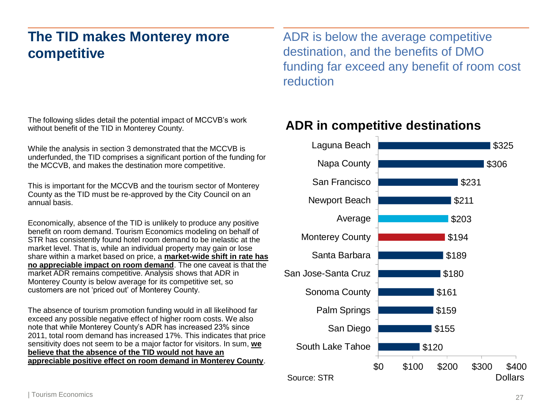# **The TID makes Monterey more competitive**

The following slides detail the potential impact of MCCVB's work without benefit of the TID in Monterey County.

While the analysis in section 3 demonstrated that the MCCVB is underfunded, the TID comprises a significant portion of the funding for the MCCVB, and makes the destination more competitive.

This is important for the MCCVB and the tourism sector of Monterey County as the TID must be re-approved by the City Council on an annual basis.

Economically, absence of the TID is unlikely to produce any positive benefit on room demand. Tourism Economics modeling on behalf of STR has consistently found hotel room demand to be inelastic at the market level. That is, while an individual property may gain or lose share within a market based on price, a **market-wide shift in rate has no appreciable impact on room demand**. The one caveat is that the market ADR remains competitive. Analysis shows that ADR in Monterey County is below average for its competitive set, so customers are not 'priced out' of Monterey County.

The absence of tourism promotion funding would in all likelihood far exceed any possible negative effect of higher room costs. We also note that while Monterey County's ADR has increased 23% since 2011, total room demand has increased 17%. This indicates that price sensitivity does not seem to be a major factor for visitors. In sum, **we believe that the absence of the TID would not have an appreciable positive effect on room demand in Monterey County**. ADR is below the average competitive destination, and the benefits of DMO funding far exceed any benefit of room cost reduction

### **ADR in competitive destinations**

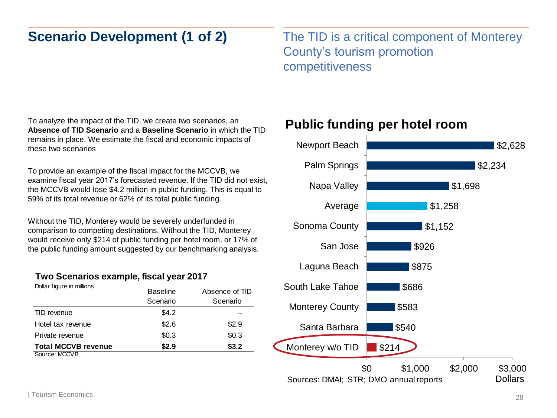# **Scenario Development (1 of 2)**

The TID is a critical component of Monterey County's tourism promotion competitiveness

To analyze the impact of the TID, we create two scenarios, an **Absence of TID Scenario** and a **Baseline Scenario** in which the TID remains in place. We estimate the fiscal and economic impacts of these two scenarios

To provide an example of the fiscal impact for the MCCVB, we examine fiscal year 2017's forecasted revenue. If the TID did not exist, the MCCVB would lose \$4.2 million in public funding. This is equal to 59% of its total revenue or 62% of its total public funding.

Without the TID, Monterey would be severely underfunded in comparison to competing destinations. Without the TID, Monterey would receive only \$214 of public funding per hotel room, or 17% of the public funding amount suggested by our benchmarking analysis.

### **Two Scenarios example, fiscal year 2017**

| Dollar figure in millions  | <b>Baseline</b><br>Scenario | Absence of TID<br>Scenario |  |
|----------------------------|-----------------------------|----------------------------|--|
| TID revenue                | \$4.2                       |                            |  |
| Hotel tax revenue          | \$2.6                       | \$2.9                      |  |
| Private revenue            | \$0.3                       | \$0.3                      |  |
| <b>Total MCCVB revenue</b> | \$2.9                       | \$3.2                      |  |
| Source: MCCVB              |                             |                            |  |

### **Public funding per hotel room**

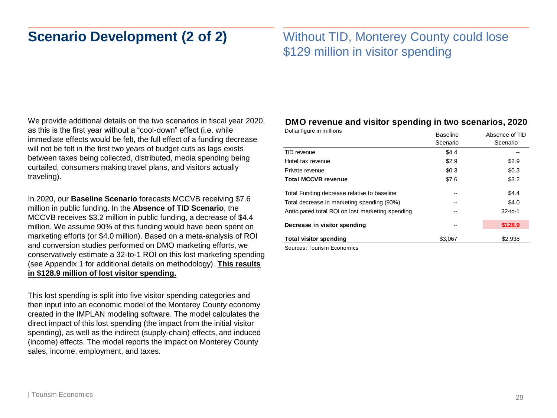# **Scenario Development (2 of 2)**

### Without TID, Monterey County could lose \$129 million in visitor spending

We provide additional details on the two scenarios in fiscal year 2020, as this is the first year without a "cool-down" effect (i.e. while immediate effects would be felt, the full effect of a funding decrease will not be felt in the first two years of budget cuts as lags exists between taxes being collected, distributed, media spending being curtailed, consumers making travel plans, and visitors actually traveling).

In 2020, our **Baseline Scenario** forecasts MCCVB receiving \$7.6 million in public funding. In the **Absence of TID Scenario**, the MCCVB receives \$3.2 million in public funding, a decrease of \$4.4 million. We assume 90% of this funding would have been spent on marketing efforts (or \$4.0 million). Based on a meta-analysis of ROI and conversion studies performed on DMO marketing efforts, we conservatively estimate a 32-to-1 ROI on this lost marketing spending (see Appendix 1 for additional details on methodology). **This results in \$128.9 million of lost visitor spending.**

This lost spending is split into five visitor spending categories and then input into an economic model of the Monterey County economy created in the IMPLAN modeling software. The model calculates the direct impact of this lost spending (the impact from the initial visitor spending), as well as the indirect (supply-chain) effects, and induced (income) effects. The model reports the impact on Monterey County sales, income, employment, and taxes.

### **DMO revenue and visitor spending in two scenarios, 2020**

| Dollar figure in millions                        | <b>Baseline</b><br>Scenario | Absence of TID<br>Scenario |
|--------------------------------------------------|-----------------------------|----------------------------|
| TID revenue                                      | \$4.4                       |                            |
| Hotel tax revenue                                | \$2.9                       | \$2.9                      |
| Private revenue                                  | \$0.3                       | \$0.3                      |
| <b>Total MCCVB revenue</b>                       | \$7.6                       | \$3.2                      |
| Total Funding decrease relative to baseline      | --                          | \$4.4                      |
| Total decrease in marketing spending (90%)       |                             | \$4.0                      |
| Anticipated total ROI on lost marketing spending | --                          | $32-to-1$                  |
| Decrease in visitor spending                     |                             | \$128.9                    |
| <b>Total visitor spending</b>                    | \$3.067                     | \$2,938                    |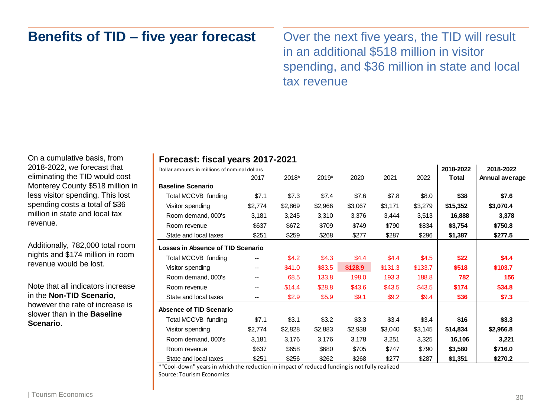## **Benefits of TID – five year forecast**

Over the next five years, the TID will result in an additional \$518 million in visitor spending, and \$36 million in state and local tax revenue

On a cumulative basis, from 2018-2022, we forecast that eliminating the TID would cost Monterey County \$518 million in less visitor spending. This lost spending costs a total of \$36 million in state and local tax revenue.

Additionally, 782,000 total room nights and \$174 million in room revenue would be lost.

Note that all indicators increase in the **Non-TID Scenario**, however the rate of increase is slower than in the **Baseline Scenario**.

### **Forecast: fiscal years 2017-2021**

| Dollar amounts in millions of nominal dollars |         |         |         |         |         |         | 2018-2022 | 2018-2022      |
|-----------------------------------------------|---------|---------|---------|---------|---------|---------|-----------|----------------|
|                                               | 2017    | 2018*   | 2019*   | 2020    | 2021    | 2022    | Total     | Annual average |
| <b>Baseline Scenario</b>                      |         |         |         |         |         |         |           |                |
| Total MCCVB funding                           | \$7.1   | \$7.3   | \$7.4   | \$7.6   | \$7.8   | \$8.0   | \$38      | \$7.6          |
| Visitor spending                              | \$2,774 | \$2,869 | \$2,966 | \$3,067 | \$3,171 | \$3,279 | \$15,352  | \$3,070.4      |
| Room demand, 000's                            | 3,181   | 3,245   | 3,310   | 3,376   | 3,444   | 3,513   | 16,888    | 3,378          |
| Room revenue                                  | \$637   | \$672   | \$709   | \$749   | \$790   | \$834   | \$3,754   | \$750.8        |
| State and local taxes                         | \$251   | \$259   | \$268   | \$277   | \$287   | \$296   | \$1,387   | \$277.5        |
| Losses in Absence of TID Scenario             |         |         |         |         |         |         |           |                |
| Total MCCVB funding                           | --      | \$4.2   | \$4.3   | \$4.4   | \$4.4   | \$4.5   | \$22      | \$4.4          |
| Visitor spending                              | $- -$   | \$41.0  | \$83.5  | \$128.9 | \$131.3 | \$133.7 | \$518     | \$103.7        |
| Room demand, 000's                            | --      | 68.5    | 133.8   | 198.0   | 193.3   | 188.8   | 782       | 156            |
| Room revenue                                  | --      | \$14.4  | \$28.8  | \$43.6  | \$43.5  | \$43.5  | \$174     | \$34.8         |
| State and local taxes                         | --      | \$2.9   | \$5.9   | \$9.1   | \$9.2   | \$9.4   | \$36      | \$7.3          |
| <b>Absence of TID Scenario</b>                |         |         |         |         |         |         |           |                |
| Total MCCVB funding                           | \$7.1   | \$3.1   | \$3.2   | \$3.3   | \$3.4   | \$3.4   | \$16      | \$3.3          |
| Visitor spending                              | \$2,774 | \$2,828 | \$2,883 | \$2,938 | \$3,040 | \$3,145 | \$14,834  | \$2,966.8      |
| Room demand, 000's                            | 3,181   | 3,176   | 3,176   | 3,178   | 3,251   | 3,325   | 16,106    | 3,221          |
| Room revenue                                  | \$637   | \$658   | \$680   | \$705   | \$747   | \$790   | \$3,580   | \$716.0        |
| State and local taxes                         | \$251   | \$256   | \$262   | \$268   | \$277   | \$287   | \$1,351   | \$270.2        |

\*"Cool-down" years in which the reduction in impact of reduced funding is not fully realized Source: Tourism Economics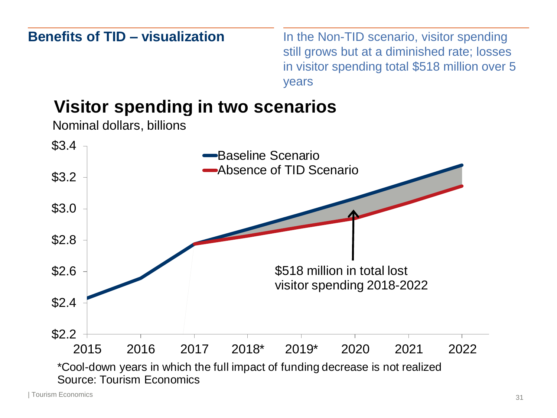**Benefits of TID – visualization** In the Non-TID scenario, visitor spending still grows but at a diminished rate; losses in visitor spending total \$518 million over 5 years 2015 2016 2017 2018\* 2019\* 2020 2021 2022 \$2.2 \$2.4 \$2.6 \$2.8 \$3.0 \$3.2  $$3.4$ Baseline Scenario Absence of TID Scenario **Visitor spending in two scenarios** \*Cool-down years in which the full impact of funding decrease is not realized Source: Tourism Economics Nominal dollars, billions \$518 million in total lost visitor spending 2018-2022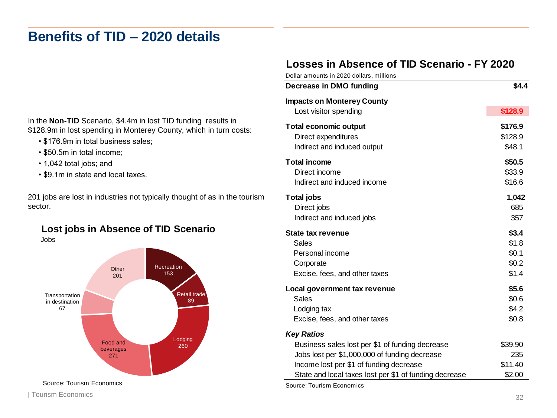# **Benefits of TID – 2020 details**

### **Losses in Absence of TID Scenario - FY 2020**

In the **Non-TID** Scenario, \$4.4m in lost TID funding results in \$128.9m in lost spending in Monterey County, which in turn costs:

- \$176.9m in total business sales;
- \$50.5m in total income;
- 1,042 total jobs; and
- \$9.1m in state and local taxes.

201 jobs are lost in industries not typically thought of as in the tourism sector.

### **Lost jobs in Absence of TID Scenario** Jobs



| Dollar amounts in 2020 dollars, millions                                                                                                                         |                                           |
|------------------------------------------------------------------------------------------------------------------------------------------------------------------|-------------------------------------------|
| Decrease in DMO funding                                                                                                                                          | \$4.4                                     |
| <b>Impacts on Monterey County</b>                                                                                                                                |                                           |
| Lost visitor spending                                                                                                                                            | \$128.9                                   |
| <b>Total economic output</b><br>Direct expenditures<br>Indirect and induced output                                                                               | \$176.9<br>\$128.9<br>\$48.1              |
| <b>Total income</b><br>Direct income<br>Indirect and induced income                                                                                              | \$50.5<br>\$33.9<br>\$16.6                |
| <b>Total jobs</b><br>Direct jobs<br>Indirect and induced jobs                                                                                                    | 1,042<br>685<br>357                       |
| <b>State tax revenue</b><br>Sales<br>Personal income<br>Corporate<br>Excise, fees, and other taxes                                                               | \$3.4<br>\$1.8<br>\$0.1<br>\$0.2<br>\$1.4 |
| Local government tax revenue<br>Sales<br>Lodging tax<br>Excise, fees, and other taxes                                                                            | \$5.6<br>\$0.6<br>\$4.2<br>\$0.8          |
| <b>Key Ratios</b><br>Business sales lost per \$1 of funding decrease<br>Jobs lost per \$1,000,000 of funding decrease<br>Income lost per \$1 of funding decrease | \$39.90<br>235<br>\$11.40                 |
| State and local taxes lost per \$1 of funding decrease<br>Source: Tourism Economics                                                                              | \$2.00                                    |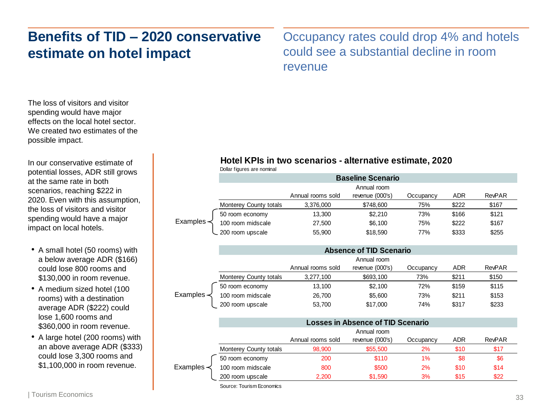# **Benefits of TID – 2020 conservative estimate on hotel impact**

Occupancy rates could drop 4% and hotels could see a substantial decline in room revenue

The loss of visitors and visitor spending would have major effects on the local hotel sector. We created two estimates of the possible impact.

In our conservative estimate of potential losses, ADR still grows at the same rate in both scenarios, reaching \$222 in 2020. Even with this assumption, the loss of visitors and visitor spending would have a major impact on local hotels.

- A small hotel (50 rooms) with a below average ADR (\$166) could lose 800 rooms and \$130,000 in room revenue.
- A medium sized hotel (100 rooms) with a destination average ADR (\$222) could lose 1,600 rooms and \$360,000 in room revenue.
- A large hotel (200 rooms) with an above average ADR (\$333) could lose 3,300 rooms and \$1,100,000 in room revenue.

Examples -**Hotel KPIs in two scenarios - alternative estimate, 2020**<br>
Dollar figures are normal<br> **Examples**<br>
Monterey County totals<br>
Examples<br>
Examples<br>
Absence of TID Scenario<br>
Monterey County totals<br>
200 noom midscale<br>
27,500 \$74 Dollar figures are nominal Annual rooms sold Annual room revenue (000's) Occupancy ADR RevPAR Monterey County totals  $3,376,000$  \$748,600 75% \$222 \$167 **Baseline Scenario** 50 room economy 13,300 \$2,210 73% \$166 \$121 100 room midscale 27,500 \$6,100 75% \$222 \$167 200 room upscale 55,900 \$18,590 77% \$333 \$255

|                  | <b>Absence of TID Scenario</b> |                   |                 |           |       |               |
|------------------|--------------------------------|-------------------|-----------------|-----------|-------|---------------|
|                  |                                | Annual room       |                 |           |       |               |
|                  |                                | Annual rooms sold | revenue (000's) | Occupancy | ADR   | <b>RevPAR</b> |
|                  | Monterey County totals         | 3,277,100         | \$693,100       | 73%       | \$211 | \$150         |
|                  | 50 room economy                | 13.100            | \$2,100         | 72%       | \$159 | \$115         |
| Examples $\prec$ | 100 room midscale              | 26,700            | \$5,600         | 73%       | \$211 | \$153         |
|                  | 200 room upscale               | 53,700            | \$17,000        | 74%       | \$317 | \$233         |

|                       | <b>Losses in Absence of TID Scenario</b> |                   |                 |           |      |               |
|-----------------------|------------------------------------------|-------------------|-----------------|-----------|------|---------------|
|                       |                                          | Annual room       |                 |           |      |               |
|                       |                                          | Annual rooms sold | revenue (000's) | Occupancy | ADR  | <b>RevPAR</b> |
|                       | Monterey County totals                   | 98,900            | \$55,500        | 2%        | \$10 | \$17          |
|                       | 50 room economy                          | 200               | \$110           | 1%        | \$8  | \$6           |
| Examples <del>≺</del> | 100 room midscale                        | 800               | \$500           | 2%        | \$10 | \$14          |
|                       | 200 room upscale                         | 2,200             | \$1,590         | 3%        | \$15 | \$22          |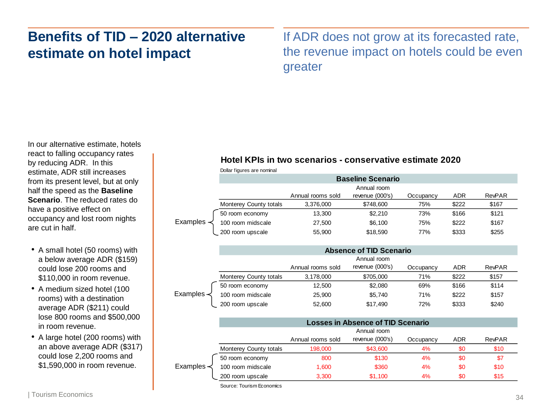# **Benefits of TID – 2020 alternative estimate on hotel impact**

If ADR does not grow at its forecasted rate, the revenue impact on hotels could be even greater

In our alternative estimate, hotels react to falling occupancy rates by reducing ADR. In this estimate, ADR still increases from its present level, but at only half the speed as the **Baseline Scenario**. The reduced rates do have a positive effect on occupancy and lost room nights are cut in half.

- A small hotel (50 rooms) with a below average ADR (\$159) could lose 200 rooms and \$110,000 in room revenue.
- A medium sized hotel (100 rooms) with a destination average ADR (\$211) could lose 800 rooms and \$500,000 in room revenue.
- A large hotel (200 rooms) with an above average ADR (\$317) could lose 2,200 rooms and \$1,590,000 in room revenue.

|          | Hotel KPIs in two scenarios - conservative estimate 2020 |                   |                                          |           |            |               |
|----------|----------------------------------------------------------|-------------------|------------------------------------------|-----------|------------|---------------|
|          | Dollar figures are nominal                               |                   |                                          |           |            |               |
|          |                                                          |                   | <b>Baseline Scenario</b>                 |           |            |               |
|          |                                                          |                   | Annual room                              |           |            |               |
|          |                                                          | Annual rooms sold | revenue (000's)                          | Occupancy | <b>ADR</b> | <b>RevPAR</b> |
|          | Monterey County totals                                   | 3,376,000         | \$748,600                                | 75%       | \$222      | \$167         |
|          | 50 room economy                                          | 13,300            | \$2,210                                  | 73%       | \$166      | \$121         |
| Examples | 100 room midscale                                        | 27,500            | \$6,100                                  | 75%       | \$222      | \$167         |
|          | 200 room upscale                                         | 55,900            | \$18,590                                 | 77%       | \$333      | \$255         |
|          |                                                          |                   | <b>Absence of TID Scenario</b>           |           |            |               |
|          |                                                          |                   | Annual room                              |           |            |               |
|          |                                                          | Annual rooms sold | revenue (000's)                          | Occupancy | <b>ADR</b> | <b>RevPAR</b> |
|          | Monterey County totals                                   | 3,178,000         | \$705,000                                | 71%       | \$222      | \$157         |
|          | 50 room economy                                          | 12,500            | \$2,080                                  | 69%       | \$166      | \$114         |
| Examples | 100 room midscale                                        | 25,900            | \$5,740                                  | 71%       | \$222      | \$157         |
|          | 200 room upscale                                         | 52,600            | \$17,490                                 | 72%       | \$333      | \$240         |
|          |                                                          |                   | <b>Losses in Absence of TID Scenario</b> |           |            |               |
|          |                                                          |                   | Annual room                              |           |            |               |
|          |                                                          | Annual rooms sold | revenue (000's)                          | Occupancy | <b>ADR</b> | <b>RevPAR</b> |
|          | Monterey County totals                                   | 198,000           | \$43,600                                 | 4%        | \$0        | \$10          |
|          | 50 room economy                                          | 800               | \$130                                    | 4%        | \$0        | \$7           |
| Examples | 100 room midscale                                        | 1,600             | \$360                                    | 4%        | \$0        | \$10          |

|                  | <b>Absence of TID Scenario</b> |                   |                   |           |       |               |
|------------------|--------------------------------|-------------------|-------------------|-----------|-------|---------------|
|                  |                                |                   | Annual room       |           |       |               |
|                  |                                | Annual rooms sold | revenue $(000's)$ | Occupancy | ADR   | <b>RevPAR</b> |
|                  | Monterey County totals         | 3.178.000         | \$705,000         | 71%       | \$222 | \$157         |
|                  | 50 room economy                | 12,500            | \$2,080           | 69%       | \$166 | \$114         |
| Examples $\prec$ | 100 room midscale              | 25.900            | \$5,740           | 71%       | \$222 | \$157         |
|                  | 200 room upscale               | 52,600            | \$17,490          | 72%       | \$333 | \$240         |

|            | <b>Losses in Absence of TID Scenario</b> |                   |                 |           |            |        |  |  |
|------------|------------------------------------------|-------------------|-----------------|-----------|------------|--------|--|--|
|            |                                          | Annual room       |                 |           |            |        |  |  |
|            |                                          | Annual rooms sold | revenue (000's) | Occupancy | <b>ADR</b> | RevPAR |  |  |
|            | Monterey County totals                   | 198,000           | \$43,600        | 4%        | \$0        | \$10   |  |  |
| Examples – | 50 room economy                          | 800               | \$130           | 4%        | \$0        | \$7    |  |  |
|            | 100 room midscale                        | 1,600             | \$360           | 4%        | \$0        | \$10   |  |  |
|            | 200 room upscale                         | 3,300             | \$1,100         | 4%        | \$0        | \$15   |  |  |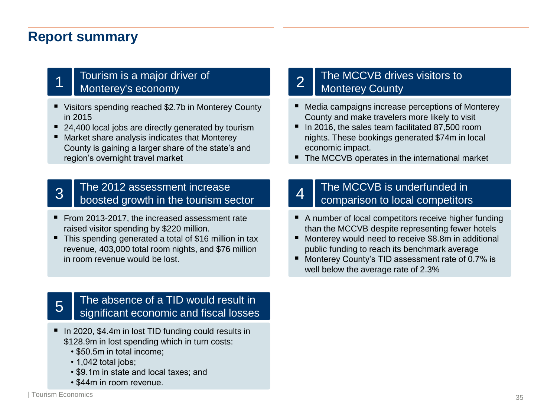### **Report summary**

### Tourism is a major driver of Monterey's economy 1

- Visitors spending reached \$2.7b in Monterey County in 2015
- 24,400 local jobs are directly generated by tourism
- Market share analysis indicates that Monterey County is gaining a larger share of the state's and region's overnight travel market

### The 2012 assessment increase 3 boosted growth in the tourism sector

- From 2013-2017, the increased assessment rate raised visitor spending by \$220 million.
- This spending generated a total of \$16 million in tax revenue, 403,000 total room nights, and \$76 million in room revenue would be lost.

### The MCCVB drives visitors to 2 | The MCCVB drive<br>Monterey County

- Media campaigns increase perceptions of Monterey County and make travelers more likely to visit
- In 2016, the sales team facilitated 87,500 room nights. These bookings generated \$74m in local economic impact.
- The MCCVB operates in the international market

### The MCCVB is underfunded in 4  $\Box$  comparison to local competitors

- A number of local competitors receive higher funding than the MCCVB despite representing fewer hotels
- Monterey would need to receive \$8.8m in additional public funding to reach its benchmark average
- Monterey County's TID assessment rate of 0.7% is well below the average rate of 2.3%

### The absence of a TID would result in 5 significant economic and fiscal losses

- In 2020, \$4.4m in lost TID funding could results in \$128.9m in lost spending which in turn costs:
	- \$50.5m in total income;
	- 1,042 total jobs;
	- \$9.1m in state and local taxes; and
	- \$44m in room revenue.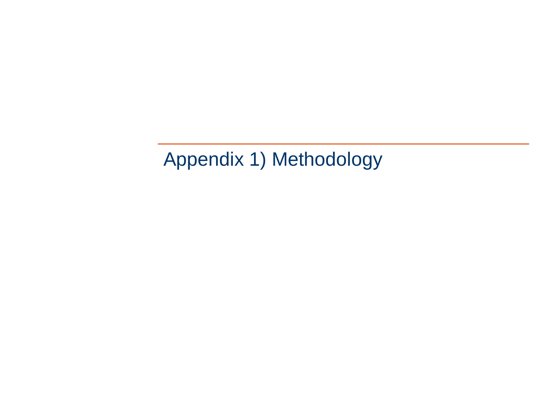Appendix 1) Methodology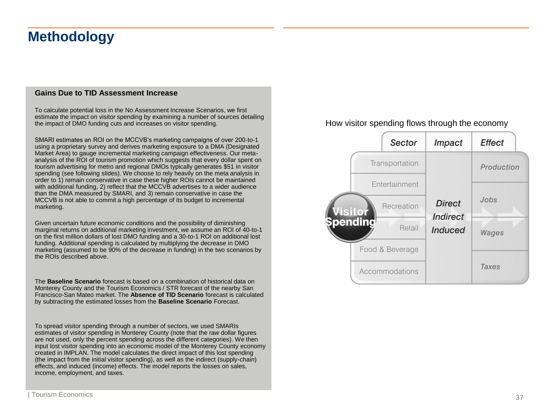# **Methodology**

#### **Gains Due to TID Assessment Increase**

To calculate potential loss in the No Assessment Increase Scenarios, we first estimate the impact on visitor spending by examining a number of sources detailing the impact of DMO funding cuts and increases on visitor spending.

SMARI estimates an ROI on the MCCVB's marketing campaigns of over 200-to-1 using a proprietary survey and derives marketing exposure to a DMA (Designated Market Area) to gauge incremental marketing campaign effectiveness. Our metaanalysis of the ROI of tourism promotion which suggests that every dollar spent on tourism advertising for metro and regional DMOs typically generates \$51 in visitor spending (see following slides). We choose to rely heavily on the meta analysis in order to 1) remain conservative in case these higher ROIs cannot be maintained with additional funding, 2) reflect that the MCCVB advertises to a wider audience than the DMA measured by SMARI, and 3) remain conservative in case the MCCVB is not able to commit a high percentage of its budget to incremental marketing.

Given uncertain future economic conditions and the possibility of diminishing marginal returns on additional marketing investment, we assume an ROI of 40-to-1 on the first million dollars of lost DMO funding and a 30-to-1 ROI on additional lost funding. Additional spending is calculated by multiplying the decrease in DMO marketing (assumed to be 90% of the decrease in funding) in the two scenarios by the ROIs described above.

The **Baseline Scenario** forecast is based on a combination of historical data on Monterey County and the Tourism Economics / STR forecast of the nearby San Francisco-San Mateo market. The **Absence of TID Scenario** forecast is calculated by subtracting the estimated losses from the **Baseline Scenario** Forecast.

To spread visitor spending through a number of sectors, we used SMARIs estimates of visitor spending in Monterey County (note that the raw dollar figures are not used, only the percent spending across the different categories). We then input lost visitor spending into an economic model of the Monterey County economy created in IMPLAN. The model calculates the direct impact of this lost spending (the impact from the initial visitor spending), as well as the indirect (supply-chain) effects, and induced (income) effects. The model reports the losses on sales, income, employment, and taxes.

#### How visitor spending flows through the economy

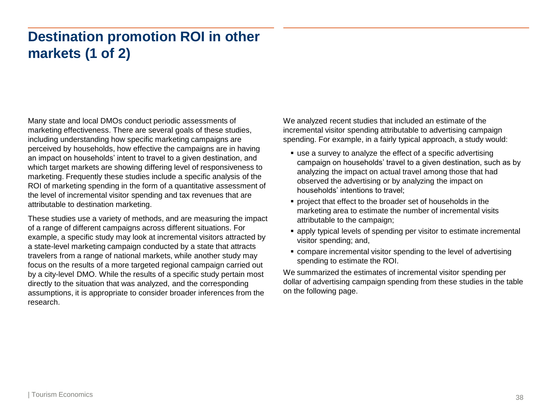# **Destination promotion ROI in other markets (1 of 2)**

Many state and local DMOs conduct periodic assessments of marketing effectiveness. There are several goals of these studies, including understanding how specific marketing campaigns are perceived by households, how effective the campaigns are in having an impact on households' intent to travel to a given destination, and which target markets are showing differing level of responsiveness to marketing. Frequently these studies include a specific analysis of the ROI of marketing spending in the form of a quantitative assessment of the level of incremental visitor spending and tax revenues that are attributable to destination marketing.

These studies use a variety of methods, and are measuring the impact of a range of different campaigns across different situations. For example, a specific study may look at incremental visitors attracted by a state-level marketing campaign conducted by a state that attracts travelers from a range of national markets, while another study may focus on the results of a more targeted regional campaign carried out by a city-level DMO. While the results of a specific study pertain most directly to the situation that was analyzed, and the corresponding assumptions, it is appropriate to consider broader inferences from the research.

We analyzed recent studies that included an estimate of the incremental visitor spending attributable to advertising campaign spending. For example, in a fairly typical approach, a study would:

- use a survey to analyze the effect of a specific advertising campaign on households' travel to a given destination, such as by analyzing the impact on actual travel among those that had observed the advertising or by analyzing the impact on households' intentions to travel;
- project that effect to the broader set of households in the marketing area to estimate the number of incremental visits attributable to the campaign;
- apply typical levels of spending per visitor to estimate incremental visitor spending; and,
- compare incremental visitor spending to the level of advertising spending to estimate the ROI.

We summarized the estimates of incremental visitor spending per dollar of advertising campaign spending from these studies in the table on the following page.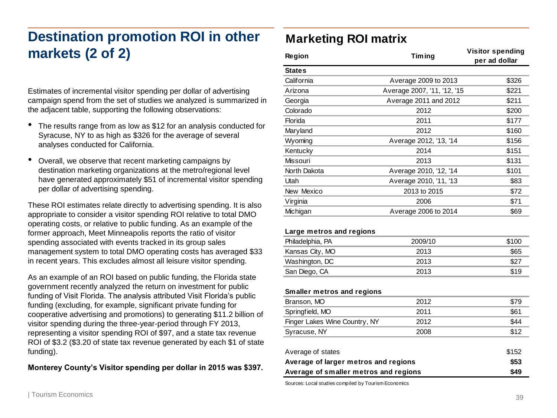# **Destination promotion ROI in other markets (2 of 2)**

- The results range from as low as \$12 for an analysis conducted for Syracuse, NY to as high as \$326 for the average of several analyses conducted for California.
- Overall, we observe that recent marketing campaigns by destination marketing organizations at the metro/regional level have generated approximately \$51 of incremental visitor spending per dollar of advertising spending.

### **Marketing ROI matrix**

| markets (2 of 2)                                                                                                                                                                                                                                                                                                                                                                               | <b>Region</b>                         | <b>Timing</b>               | <b>Visitor spending</b><br>per ad dollar |
|------------------------------------------------------------------------------------------------------------------------------------------------------------------------------------------------------------------------------------------------------------------------------------------------------------------------------------------------------------------------------------------------|---------------------------------------|-----------------------------|------------------------------------------|
|                                                                                                                                                                                                                                                                                                                                                                                                | <b>States</b>                         |                             |                                          |
|                                                                                                                                                                                                                                                                                                                                                                                                | California                            | Average 2009 to 2013        | \$326                                    |
| Estimates of incremental visitor spending per dollar of advertising                                                                                                                                                                                                                                                                                                                            | Arizona                               | Average 2007, '11, '12, '15 | \$221                                    |
| campaign spend from the set of studies we analyzed is summarized in                                                                                                                                                                                                                                                                                                                            | Georgia                               | Average 2011 and 2012       | \$211                                    |
| the adjacent table, supporting the following observations:                                                                                                                                                                                                                                                                                                                                     | Colorado                              | 2012                        | \$200                                    |
|                                                                                                                                                                                                                                                                                                                                                                                                | Florida                               | 2011                        | \$177                                    |
| The results range from as low as \$12 for an analysis conducted for<br>Syracuse, NY to as high as \$326 for the average of several                                                                                                                                                                                                                                                             | Maryland                              | 2012                        | \$160                                    |
| analyses conducted for California.                                                                                                                                                                                                                                                                                                                                                             | Wyoming                               | Average 2012, '13, '14      | \$156                                    |
|                                                                                                                                                                                                                                                                                                                                                                                                | Kentucky                              | 2014                        | \$151                                    |
| Overall, we observe that recent marketing campaigns by<br>٠                                                                                                                                                                                                                                                                                                                                    | Missouri                              | 2013                        | \$131                                    |
| destination marketing organizations at the metro/regional level                                                                                                                                                                                                                                                                                                                                | North Dakota                          | Average 2010, '12, '14      | \$101                                    |
| have generated approximately \$51 of incremental visitor spending                                                                                                                                                                                                                                                                                                                              | Utah                                  | Average 2010, '11, '13      | \$83                                     |
|                                                                                                                                                                                                                                                                                                                                                                                                | New Mexico                            | 2013 to 2015                | \$72                                     |
|                                                                                                                                                                                                                                                                                                                                                                                                | Virginia                              | 2006                        | \$71                                     |
|                                                                                                                                                                                                                                                                                                                                                                                                | Michigan                              | Average 2006 to 2014        | \$69                                     |
| per dollar of advertising spending.<br>These ROI estimates relate directly to advertising spending. It is also<br>appropriate to consider a visitor spending ROI relative to total DMO<br>operating costs, or relative to public funding. As an example of the<br>former approach, Meet Minneapolis reports the ratio of visitor<br>spending associated with events tracked in its group sales | Large metros and regions              |                             |                                          |
|                                                                                                                                                                                                                                                                                                                                                                                                | Philadelphia, PA                      | 2009/10                     | \$100                                    |
| management system to total DMO operating costs has averaged \$33                                                                                                                                                                                                                                                                                                                               | Kansas City, MO                       | 2013                        | \$65                                     |
| in recent years. This excludes almost all leisure visitor spending.                                                                                                                                                                                                                                                                                                                            | Washington, DC                        | 2013                        | \$27                                     |
|                                                                                                                                                                                                                                                                                                                                                                                                | San Diego, CA                         | 2013                        | \$19                                     |
| As an example of an ROI based on public funding, the Florida state<br>government recently analyzed the return on investment for public<br>funding of Visit Florida. The analysis attributed Visit Florida's public                                                                                                                                                                             | Smaller metros and regions            |                             |                                          |
| funding (excluding, for example, significant private funding for                                                                                                                                                                                                                                                                                                                               | Branson, MO                           | 2012                        | \$79                                     |
| cooperative advertising and promotions) to generating \$11.2 billion of                                                                                                                                                                                                                                                                                                                        | Springfield, MO                       | 2011                        | \$61                                     |
| visitor spending during the three-year-period through FY 2013,                                                                                                                                                                                                                                                                                                                                 | Finger Lakes Wine Country, NY         | 2012                        | \$44                                     |
| representing a visitor spending ROI of \$97, and a state tax revenue                                                                                                                                                                                                                                                                                                                           | Syracuse, NY                          | 2008                        | \$12                                     |
| ROI of \$3.2 (\$3.20 of state tax revenue generated by each \$1 of state                                                                                                                                                                                                                                                                                                                       |                                       |                             |                                          |
| funding).                                                                                                                                                                                                                                                                                                                                                                                      | Average of states                     |                             | \$152                                    |
|                                                                                                                                                                                                                                                                                                                                                                                                | Average of larger metros and regions  | \$53                        |                                          |
| Monterey County's Visitor spending per dollar in 2015 was \$397.                                                                                                                                                                                                                                                                                                                               | Average of amaller matres and regions | 0.40                        |                                          |

**Average of smaller metros and regions \$49**

Sources: Local studies compiled by Tourism Economics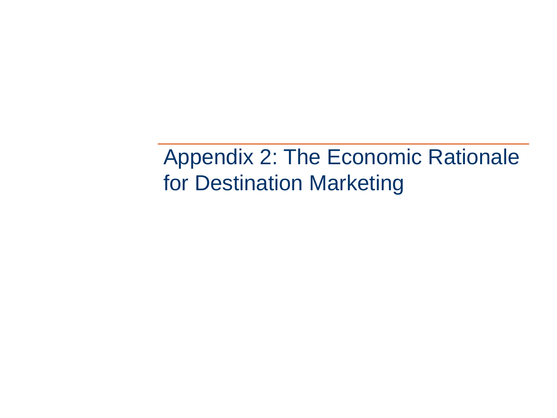Appendix 2: The Economic Rationale for Destination Marketing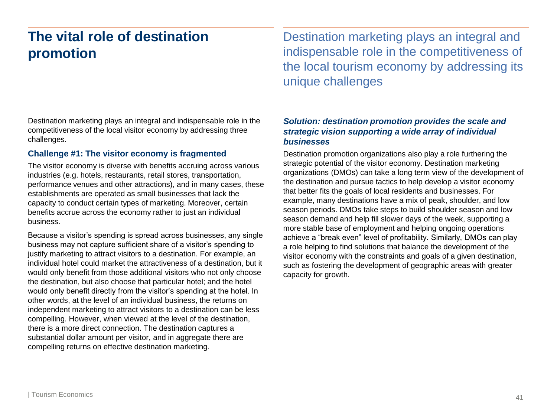# **The vital role of destination promotion**

Destination marketing plays an integral and indispensable role in the competitiveness of the local visitor economy by addressing three challenges.

#### **Challenge #1: The visitor economy is fragmented**

The visitor economy is diverse with benefits accruing across various industries (e.g. hotels, restaurants, retail stores, transportation, performance venues and other attractions), and in many cases, these establishments are operated as small businesses that lack the capacity to conduct certain types of marketing. Moreover, certain benefits accrue across the economy rather to just an individual business.

Because a visitor's spending is spread across businesses, any single business may not capture sufficient share of a visitor's spending to justify marketing to attract visitors to a destination. For example, an individual hotel could market the attractiveness of a destination, but it would only benefit from those additional visitors who not only choose the destination, but also choose that particular hotel; and the hotel would only benefit directly from the visitor's spending at the hotel. In other words, at the level of an individual business, the returns on independent marketing to attract visitors to a destination can be less compelling. However, when viewed at the level of the destination, there is a more direct connection. The destination captures a substantial dollar amount per visitor, and in aggregate there are compelling returns on effective destination marketing.

Destination marketing plays an integral and indispensable role in the competitiveness of the local tourism economy by addressing its unique challenges

### *Solution: destination promotion provides the scale and strategic vision supporting a wide array of individual businesses*

Destination promotion organizations also play a role furthering the strategic potential of the visitor economy. Destination marketing organizations (DMOs) can take a long term view of the development of the destination and pursue tactics to help develop a visitor economy that better fits the goals of local residents and businesses. For example, many destinations have a mix of peak, shoulder, and low season periods. DMOs take steps to build shoulder season and low season demand and help fill slower days of the week, supporting a more stable base of employment and helping ongoing operations achieve a "break even" level of profitability. Similarly, DMOs can play a role helping to find solutions that balance the development of the visitor economy with the constraints and goals of a given destination, such as fostering the development of geographic areas with greater capacity for growth.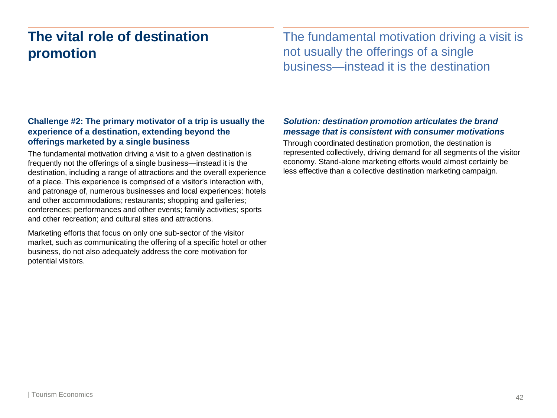# **The vital role of destination promotion**

The fundamental motivation driving a visit is not usually the offerings of a single business—instead it is the destination

### **Challenge #2: The primary motivator of a trip is usually the experience of a destination, extending beyond the offerings marketed by a single business**

The fundamental motivation driving a visit to a given destination is frequently not the offerings of a single business—instead it is the destination, including a range of attractions and the overall experience of a place. This experience is comprised of a visitor's interaction with, and patronage of, numerous businesses and local experiences: hotels and other accommodations; restaurants; shopping and galleries; conferences; performances and other events; family activities; sports and other recreation; and cultural sites and attractions.

Marketing efforts that focus on only one sub-sector of the visitor market, such as communicating the offering of a specific hotel or other business, do not also adequately address the core motivation for potential visitors.

### *Solution: destination promotion articulates the brand message that is consistent with consumer motivations*

Through coordinated destination promotion, the destination is represented collectively, driving demand for all segments of the visitor economy. Stand-alone marketing efforts would almost certainly be less effective than a collective destination marketing campaign.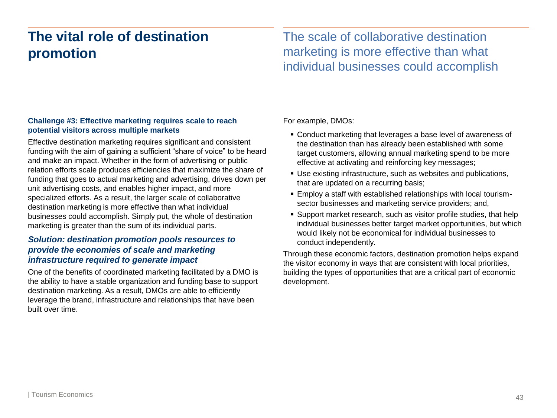# **The vital role of destination promotion**

The scale of collaborative destination marketing is more effective than what individual businesses could accomplish

#### **Challenge #3: Effective marketing requires scale to reach potential visitors across multiple markets**

Effective destination marketing requires significant and consistent funding with the aim of gaining a sufficient "share of voice" to be heard and make an impact. Whether in the form of advertising or public relation efforts scale produces efficiencies that maximize the share of funding that goes to actual marketing and advertising, drives down per unit advertising costs, and enables higher impact, and more specialized efforts. As a result, the larger scale of collaborative destination marketing is more effective than what individual businesses could accomplish. Simply put, the whole of destination marketing is greater than the sum of its individual parts.

### *Solution: destination promotion pools resources to provide the economies of scale and marketing infrastructure required to generate impact*

One of the benefits of coordinated marketing facilitated by a DMO is the ability to have a stable organization and funding base to support destination marketing. As a result, DMOs are able to efficiently leverage the brand, infrastructure and relationships that have been built over time.

For example, DMOs:

- Conduct marketing that leverages a base level of awareness of the destination than has already been established with some target customers, allowing annual marketing spend to be more effective at activating and reinforcing key messages;
- Use existing infrastructure, such as websites and publications, that are updated on a recurring basis;
- Employ a staff with established relationships with local tourismsector businesses and marketing service providers; and,
- Support market research, such as visitor profile studies, that help individual businesses better target market opportunities, but which would likely not be economical for individual businesses to conduct independently.

Through these economic factors, destination promotion helps expand the visitor economy in ways that are consistent with local priorities, building the types of opportunities that are a critical part of economic development.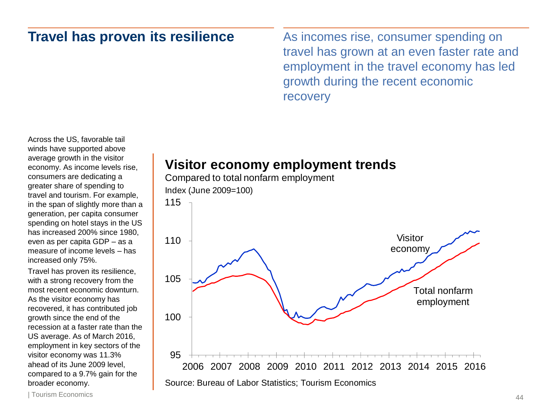### **Travel has proven its resilience**

As incomes rise, consumer spending on travel has grown at an even faster rate and employment in the travel economy has led growth during the recent economic recovery

Across the US, favorable tail winds have supported above average growth in the visitor economy. As income levels rise, consumers are dedicating a greater share of spending to travel and tourism. For example, in the span of slightly more than a generation, per capita consumer spending on hotel stays in the US has increased 200% since 1980, even as per capita GDP – as a measure of income levels – has increased only 75%.

Travel has proven its resilience, with a strong recovery from the most recent economic downturn. As the visitor economy has recovered, it has contributed job growth since the end of the recession at a faster rate than the US average. As of March 2016, employment in key sectors of the visitor economy was 11.3% ahead of its June 2009 level, compared to a 9.7% gain for the broader economy.

## **Visitor economy employment trends**





| Tourism Economics 44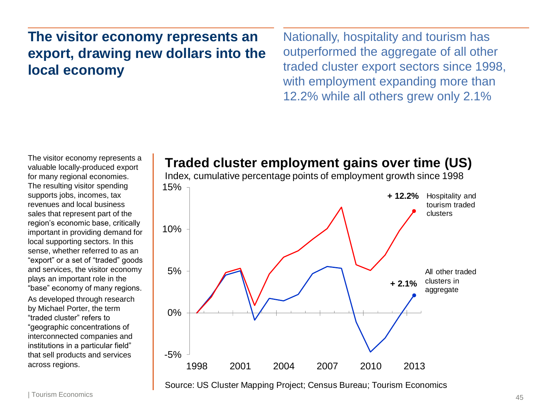# **The visitor economy represents an export, drawing new dollars into the local economy**

Nationally, hospitality and tourism has outperformed the aggregate of all other traded cluster export sectors since 1998, with employment expanding more than 12.2% while all others grew only 2.1%

The visitor economy represents a valuable locally-produced export for many regional economies. The resulting visitor spending supports jobs, incomes, tax revenues and local business sales that represent part of the region's economic base, critically important in providing demand for local supporting sectors. In this sense, whether referred to as an "export" or a set of "traded" goods and services, the visitor economy plays an important role in the "base" economy of many regions.

As developed through research by Michael Porter, the term "traded cluster" refers to "geographic concentrations of interconnected companies and institutions in a particular field" that sell products and services across regions.

### **Traded cluster employment gains over time (US)**

15% Index, cumulative percentage points of employment growth since 1998

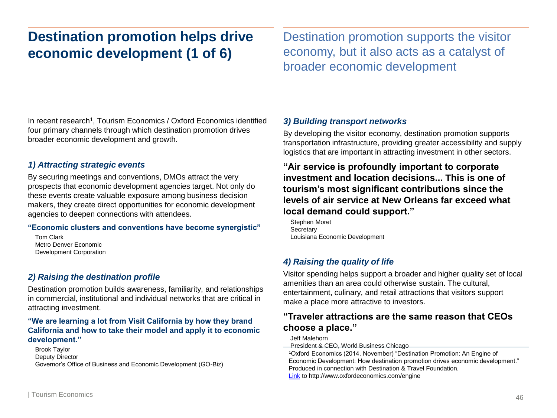# **Destination promotion helps drive economic development (1 of 6)**

Destination promotion supports the visitor economy, but it also acts as a catalyst of broader economic development

In recent research<sup>1</sup>, Tourism Economics / Oxford Economics identified four primary channels through which destination promotion drives broader economic development and growth.

#### *1) Attracting strategic events*

By securing meetings and conventions, DMOs attract the very prospects that economic development agencies target. Not only do these events create valuable exposure among business decision makers, they create direct opportunities for economic development agencies to deepen connections with attendees.

#### **"Economic clusters and conventions have become synergistic"**

Tom Clark Metro Denver Economic Development Corporation

### *2) Raising the destination profile*

Destination promotion builds awareness, familiarity, and relationships in commercial, institutional and individual networks that are critical in attracting investment.

#### **"We are learning a lot from Visit California by how they brand California and how to take their model and apply it to economic development."**

Brook Taylor Deputy Director Governor's Office of Business and Economic Development (GO-Biz)

#### *3) Building transport networks*

By developing the visitor economy, destination promotion supports transportation infrastructure, providing greater accessibility and supply logistics that are important in attracting investment in other sectors.

### **"Air service is profoundly important to corporate investment and location decisions... This is one of tourism's most significant contributions since the levels of air service at New Orleans far exceed what local demand could support."**

Stephen Moret **Secretary** Louisiana Economic Development

### *4) Raising the quality of life*

Visitor spending helps support a broader and higher quality set of local amenities than an area could otherwise sustain. The cultural, entertainment, culinary, and retail attractions that visitors support make a place more attractive to investors.

### **"Traveler attractions are the same reason that CEOs choose a place."**

Jeff Malehorn

**President & CEO, World Business Chicago** 

<sup>1</sup>Oxford Economics (2014, November) "Destination Promotion: An Engine of Economic Development: How destination promotion drives economic development." Produced in connection with Destination & Travel Foundation. [Link](http://www.oxfordeconomics.com/engine) to http://www.oxfordeconomics.com/engine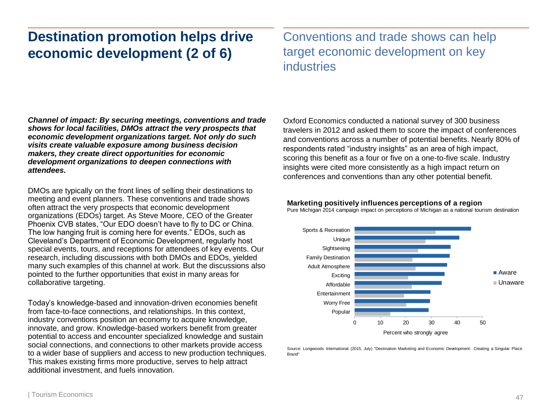# **Destination promotion helps drive economic development (2 of 6)**

Conventions and trade shows can help target economic development on key industries

*Channel of impact: By securing meetings, conventions and trade shows for local facilities, DMOs attract the very prospects that economic development organizations target. Not only do such visits create valuable exposure among business decision makers, they create direct opportunities for economic development organizations to deepen connections with attendees.* 

DMOs are typically on the front lines of selling their destinations to meeting and event planners. These conventions and trade shows often attract the very prospects that economic development organizations (EDOs) target. As Steve Moore, CEO of the Greater Phoenix CVB states, "Our EDO doesn't have to fly to DC or China. The low hanging fruit is coming here for events." EDOs, such as Cleveland's Department of Economic Development, regularly host special events, tours, and receptions for attendees of key events. Our research, including discussions with both DMOs and EDOs, yielded many such examples of this channel at work. But the discussions also pointed to the further opportunities that exist in many areas for collaborative targeting.

Today's knowledge-based and innovation-driven economies benefit from face-to-face connections, and relationships. In this context, industry conventions position an economy to acquire knowledge, innovate, and grow. Knowledge-based workers benefit from greater potential to access and encounter specialized knowledge and sustain social connections, and connections to other markets provide access to a wider base of suppliers and access to new production techniques. This makes existing firms more productive, serves to help attract additional investment, and fuels innovation.

Oxford Economics conducted a national survey of 300 business travelers in 2012 and asked them to score the impact of conferences and conventions across a number of potential benefits. Nearly 80% of respondents rated "industry insights" as an area of high impact, scoring this benefit as a four or five on a one-to-five scale. Industry insights were cited more consistently as a high impact return on conferences and conventions than any other potential benefit.

#### **Marketing positively influences perceptions of a region**

Pure Michigan 2014 campaign impact on perceptions of Michigan as a national tourism destination



Source: Longwoods International (2015, July) "Destination Marketing and Economic Development: Creating a Singular Place Brand"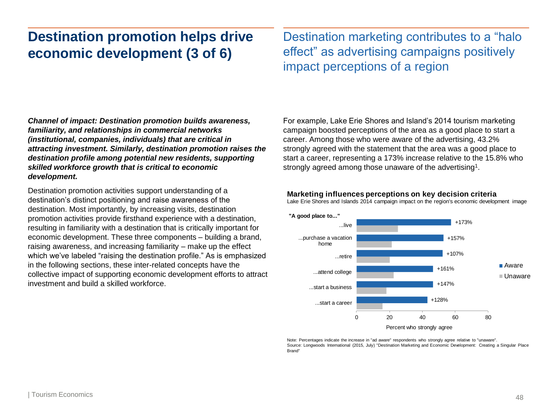# **Destination promotion helps drive economic development (3 of 6)**

Destination marketing contributes to a "halo effect" as advertising campaigns positively impact perceptions of a region

*Channel of impact: Destination promotion builds awareness, familiarity, and relationships in commercial networks (institutional, companies, individuals) that are critical in attracting investment. Similarly, destination promotion raises the destination profile among potential new residents, supporting skilled workforce growth that is critical to economic development.*

Destination promotion activities support understanding of a destination's distinct positioning and raise awareness of the destination. Most importantly, by increasing visits, destination promotion activities provide firsthand experience with a destination, resulting in familiarity with a destination that is critically important for economic development. These three components – building a brand, raising awareness, and increasing familiarity – make up the effect which we've labeled "raising the destination profile." As is emphasized in the following sections, these inter-related concepts have the collective impact of supporting economic development efforts to attract investment and build a skilled workforce.

For example, Lake Erie Shores and Island's 2014 tourism marketing campaign boosted perceptions of the area as a good place to start a career. Among those who were aware of the advertising, 43.2% strongly agreed with the statement that the area was a good place to start a career, representing a 173% increase relative to the 15.8% who strongly agreed among those unaware of the advertising<sup>1</sup>.

#### **Marketing influences perceptions on key decision criteria**





Note: Percentages indicate the increase in "ad aware" respondents who strongly agree relative to "unaware". Source: Longwoods International (2015, July) "Destination Marketing and Economic Development: Creating a Singular Place Brand"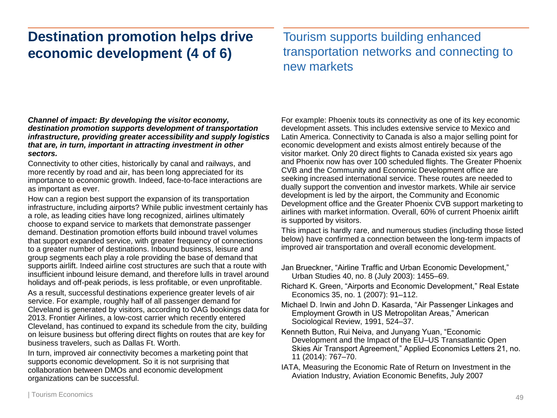# **Destination promotion helps drive economic development (4 of 6)**

Tourism supports building enhanced transportation networks and connecting to new markets

#### *Channel of impact: By developing the visitor economy, destination promotion supports development of transportation infrastructure, providing greater accessibility and supply logistics that are, in turn, important in attracting investment in other sectors.*

Connectivity to other cities, historically by canal and railways, and more recently by road and air, has been long appreciated for its importance to economic growth. Indeed, face-to-face interactions are as important as ever.

How can a region best support the expansion of its transportation infrastructure, including airports? While public investment certainly has a role, as leading cities have long recognized, airlines ultimately choose to expand service to markets that demonstrate passenger demand. Destination promotion efforts build inbound travel volumes that support expanded service, with greater frequency of connections to a greater number of destinations. Inbound business, leisure and group segments each play a role providing the base of demand that supports airlift. Indeed airline cost structures are such that a route with insufficient inbound leisure demand, and therefore lulls in travel around holidays and off-peak periods, is less profitable, or even unprofitable.

As a result, successful destinations experience greater levels of air service. For example, roughly half of all passenger demand for Cleveland is generated by visitors, according to OAG bookings data for 2013. Frontier Airlines, a low-cost carrier which recently entered Cleveland, has continued to expand its schedule from the city, building on leisure business but offering direct flights on routes that are key for business travelers, such as Dallas Ft. Worth.

In turn, improved air connectivity becomes a marketing point that supports economic development. So it is not surprising that collaboration between DMOs and economic development organizations can be successful.

For example: Phoenix touts its connectivity as one of its key economic development assets. This includes extensive service to Mexico and Latin America. Connectivity to Canada is also a major selling point for economic development and exists almost entirely because of the visitor market. Only 20 direct flights to Canada existed six years ago and Phoenix now has over 100 scheduled flights. The Greater Phoenix CVB and the Community and Economic Development office are seeking increased international service. These routes are needed to dually support the convention and investor markets. While air service development is led by the airport, the Community and Economic Development office and the Greater Phoenix CVB support marketing to airlines with market information. Overall, 60% of current Phoenix airlift is supported by visitors.

This impact is hardly rare, and numerous studies (including those listed below) have confirmed a connection between the long-term impacts of improved air transportation and overall economic development.

- Jan Brueckner, "Airline Traffic and Urban Economic Development," Urban Studies 40, no. 8 (July 2003): 1455–69.
- Richard K. Green, "Airports and Economic Development," Real Estate Economics 35, no. 1 (2007): 91–112.
- Michael D. Irwin and John D. Kasarda, "Air Passenger Linkages and Employment Growth in US Metropolitan Areas," American Sociological Review, 1991, 524–37.
- Kenneth Button, Rui Neiva, and Junyang Yuan, "Economic Development and the Impact of the EU–US Transatlantic Open Skies Air Transport Agreement," Applied Economics Letters 21, no. 11 (2014): 767–70.
- IATA, Measuring the Economic Rate of Return on Investment in the Aviation Industry, Aviation Economic Benefits, July 2007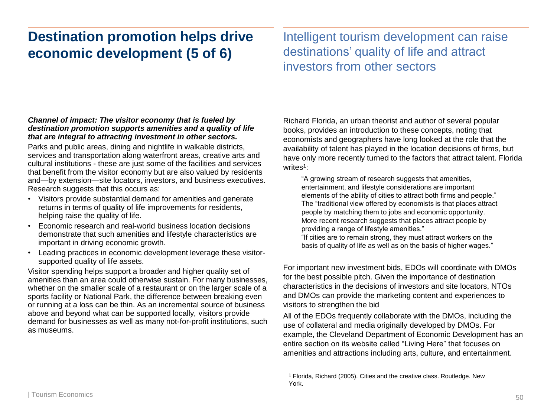# **Destination promotion helps drive economic development (5 of 6)**

Intelligent tourism development can raise destinations' quality of life and attract investors from other sectors

#### *Channel of impact: The visitor economy that is fueled by destination promotion supports amenities and a quality of life that are integral to attracting investment in other sectors.*

Parks and public areas, dining and nightlife in walkable districts, services and transportation along waterfront areas, creative arts and cultural institutions - these are just some of the facilities and services that benefit from the visitor economy but are also valued by residents and—by extension—site locators, investors, and business executives. Research suggests that this occurs as:

- Visitors provide substantial demand for amenities and generate returns in terms of quality of life improvements for residents, helping raise the quality of life.
- Economic research and real-world business location decisions demonstrate that such amenities and lifestyle characteristics are important in driving economic growth.
- Leading practices in economic development leverage these visitorsupported quality of life assets.

Visitor spending helps support a broader and higher quality set of amenities than an area could otherwise sustain. For many businesses, whether on the smaller scale of a restaurant or on the larger scale of a sports facility or National Park, the difference between breaking even or running at a loss can be thin. As an incremental source of business above and beyond what can be supported locally, visitors provide demand for businesses as well as many not-for-profit institutions, such as museums.

Richard Florida, an urban theorist and author of several popular books, provides an introduction to these concepts, noting that economists and geographers have long looked at the role that the availability of talent has played in the location decisions of firms, but have only more recently turned to the factors that attract talent. Florida writes<sup>1</sup>:

"A growing stream of research suggests that amenities, entertainment, and lifestyle considerations are important elements of the ability of cities to attract both firms and people." The "traditional view offered by economists is that places attract people by matching them to jobs and economic opportunity. More recent research suggests that places attract people by providing a range of lifestyle amenities."

"If cities are to remain strong, they must attract workers on the basis of quality of life as well as on the basis of higher wages."

For important new investment bids, EDOs will coordinate with DMOs for the best possible pitch. Given the importance of destination characteristics in the decisions of investors and site locators, NTOs and DMOs can provide the marketing content and experiences to visitors to strengthen the bid

All of the EDOs frequently collaborate with the DMOs, including the use of collateral and media originally developed by DMOs. For example, the Cleveland Department of Economic Development has an entire section on its website called "Living Here" that focuses on amenities and attractions including arts, culture, and entertainment.

<sup>1</sup> Florida, Richard (2005). Cities and the creative class. Routledge. New York.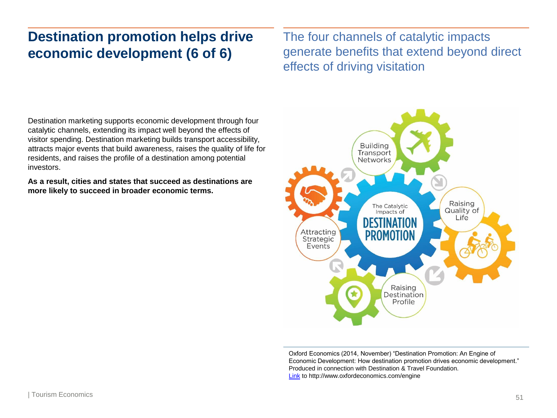# **Destination promotion helps drive economic development (6 of 6)**

The four channels of catalytic impacts generate benefits that extend beyond direct effects of driving visitation

Destination marketing supports economic development through four catalytic channels, extending its impact well beyond the effects of visitor spending. Destination marketing builds transport accessibility, attracts major events that build awareness, raises the quality of life for residents, and raises the profile of a destination among potential investors.

**As a result, cities and states that succeed as destinations are more likely to succeed in broader economic terms.**



Oxford Economics (2014, November) "Destination Promotion: An Engine of Economic Development: How destination promotion drives economic development." Produced in connection with Destination & Travel Foundation. [Link](http://www.oxfordeconomics.com/engine) to http://www.oxfordeconomics.com/engine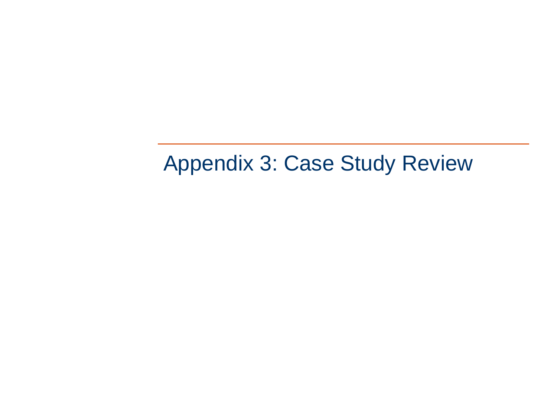# Appendix 3: Case Study Review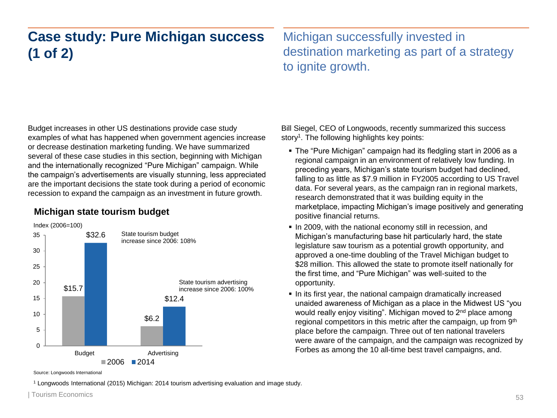# **Case study: Pure Michigan success (1 of 2)**

Michigan successfully invested in destination marketing as part of a strategy to ignite growth.

Budget increases in other US destinations provide case study examples of what has happened when government agencies increase or decrease destination marketing funding. We have summarized several of these case studies in this section, beginning with Michigan and the internationally recognized "Pure Michigan" campaign. While the campaign's advertisements are visually stunning, less appreciated are the important decisions the state took during a period of economic recession to expand the campaign as an investment in future growth.

### **Michigan state tourism budget**



Bill Siegel, CEO of Longwoods, recently summarized this success story<sup>1</sup>. The following highlights key points:

- The "Pure Michigan" campaign had its fledgling start in 2006 as a regional campaign in an environment of relatively low funding. In preceding years, Michigan's state tourism budget had declined, falling to as little as \$7.9 million in FY2005 according to US Travel data. For several years, as the campaign ran in regional markets, research demonstrated that it was building equity in the marketplace, impacting Michigan's image positively and generating positive financial returns.
- In 2009, with the national economy still in recession, and Michigan's manufacturing base hit particularly hard, the state legislature saw tourism as a potential growth opportunity, and approved a one-time doubling of the Travel Michigan budget to \$28 million. This allowed the state to promote itself nationally for the first time, and "Pure Michigan" was well-suited to the opportunity.
- In its first year, the national campaign dramatically increased unaided awareness of Michigan as a place in the Midwest US "you would really enjoy visiting". Michigan moved to 2<sup>nd</sup> place among regional competitors in this metric after the campaign, up from 9<sup>th</sup> place before the campaign. Three out of ten national travelers were aware of the campaign, and the campaign was recognized by Forbes as among the 10 all-time best travel campaigns, and.

Source: Longwoods International

<sup>1</sup> Longwoods International (2015) Michigan: 2014 tourism advertising evaluation and image study.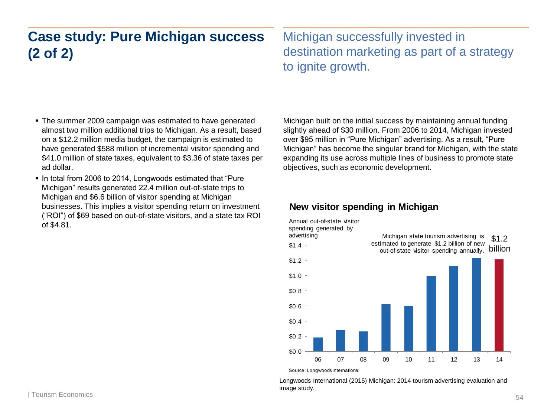# **Case study: Pure Michigan success (2 of 2)**

Michigan successfully invested in destination marketing as part of a strategy to ignite growth.

- The summer 2009 campaign was estimated to have generated almost two million additional trips to Michigan. As a result, based on a \$12.2 million media budget, the campaign is estimated to have generated \$588 million of incremental visitor spending and \$41.0 million of state taxes, equivalent to \$3.36 of state taxes per ad dollar.
- In total from 2006 to 2014, Longwoods estimated that "Pure" Michigan" results generated 22.4 million out-of-state trips to Michigan and \$6.6 billion of visitor spending at Michigan businesses. This implies a visitor spending return on investment ("ROI") of \$69 based on out-of-state visitors, and a state tax ROI of \$4.81.

Michigan built on the initial success by maintaining annual funding slightly ahead of \$30 million. From 2006 to 2014, Michigan invested over \$95 million in "Pure Michigan" advertising. As a result, "Pure Michigan" has become the singular brand for Michigan, with the state expanding its use across multiple lines of business to promote state objectives, such as economic development.

### **New visitor spending in Michigan**



Longwoods International (2015) Michigan: 2014 tourism advertising evaluation and image study.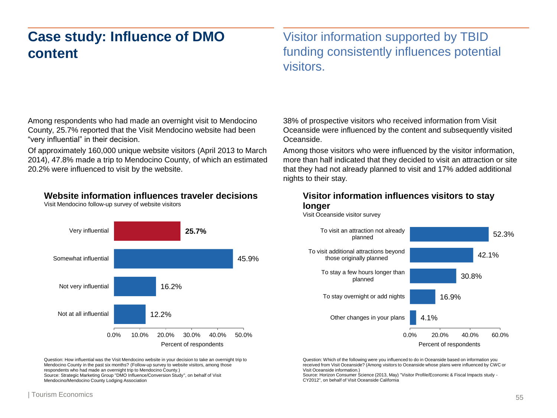# **Case study: Influence of DMO content**

Visitor information supported by TBID funding consistently influences potential visitors.

Among respondents who had made an overnight visit to Mendocino County, 25.7% reported that the Visit Mendocino website had been "very influential" in their decision.

Of approximately 160,000 unique website visitors (April 2013 to March 2014), 47.8% made a trip to Mendocino County, of which an estimated 20.2% were influenced to visit by the website.

### **Website information influences traveler decisions**

Visit Mendocino follow-up survey of website visitors



Question: How influential was the Visit Mendocino website in your decision to take an overnight trip to Mendocino County in the past six months? (Follow-up survey to website visitors, among those respondents who had made an overnight trip to Mendocino County.) Source: Strategic Marketing Group "DMO Influence/Conversion Study", on behalf of Visit Mendocino/Mendocino County Lodging Association

38% of prospective visitors who received information from Visit Oceanside were influenced by the content and subsequently visited Oceanside.

Among those visitors who were influenced by the visitor information, more than half indicated that they decided to visit an attraction or site that they had not already planned to visit and 17% added additional nights to their stay.

#### **Visitor information influences visitors to stay longer**

Visit Oceanside visitor survey



Question: Which of the following were you influenced to do in Oceanside based on information you received from Visit Oceanside? (Among visitors to Oceanside whose plans were influenced by CWC or Visit Oceanside information.)

Source: Horizon Consumer Science (2013, May) "Visitor Profile/Economic & Fiscal Impacts study - CY2012", on behalf of Visit Oceanside California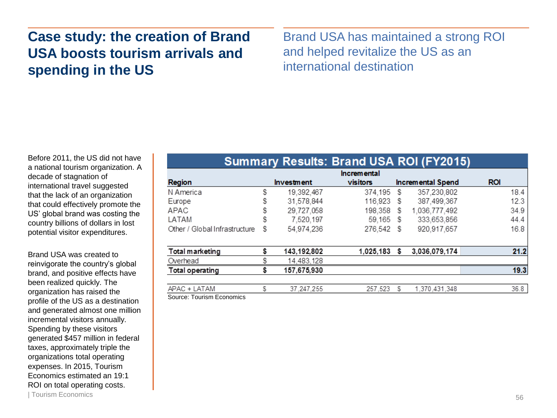# **Case study: the creation of Brand USA boosts tourism arrivals and spending in the US**

Brand USA has maintained a strong ROI and helped revitalize the US as an international destination

Before 2011, the US did not have a national tourism organization. A decade of stagnation of international travel suggested that the lack of an organization that could effectively promote the US' global brand was costing the country billions of dollars in lost potential visitor expenditures.

Brand USA was created to reinvigorate the country's global brand, and positive effects have been realized quickly. The organization has raised the profile of the US as a destination and generated almost one million incremental visitors annually. Spending by these visitors generated \$457 million in federal taxes, approximately triple the organizations total operating expenses. In 2015, Tourism Economics estimated an 19:1 ROI on total operating costs.

| <b>Summary Results. Brand USA ROLLETZ019</b> |                    |                   |            |    |                          |            |      |  |
|----------------------------------------------|--------------------|-------------------|------------|----|--------------------------|------------|------|--|
|                                              | <b>Incremental</b> |                   |            |    |                          |            |      |  |
| Region                                       |                    | <b>Investment</b> | visitors   |    | <b>Incremental Spend</b> | <b>ROI</b> |      |  |
| N America                                    | S                  | 19,392,467        | 374,195    | S  | 357,230,802              |            | 18.4 |  |
| Europe                                       | s                  | 31,578,844        | 116,923 \$ |    | 387,499,367              |            | 12.3 |  |
| APAC                                         | S                  | 29.727.058        | 198,358    | S  | 1,036,777,492            |            | 34.9 |  |
| LATAM                                        | \$                 | 7,520,197         | 59,165 \$  |    | 333,653,856              |            | 44.4 |  |
| Other / Global Infrastructure                | s                  | 54,974,236        | 276.542 \$ |    | 920.917.657              |            | 16.8 |  |
| Total marketing                              |                    | 143,192,802       | 1,025,183  | Ŝ. | 3,036,079,174            |            | 21.2 |  |
| Overhead                                     |                    | 14,483,128        |            |    |                          |            |      |  |
| Total operating                              |                    | 157,675,930       |            |    |                          |            | 19.3 |  |
| APAC + LATAM                                 | S                  | 37 247 255        | 257 523    | S  | 1.370.431.348            |            | 36.8 |  |

Cummon: Deaute: Drand LICA DOL (EVO045)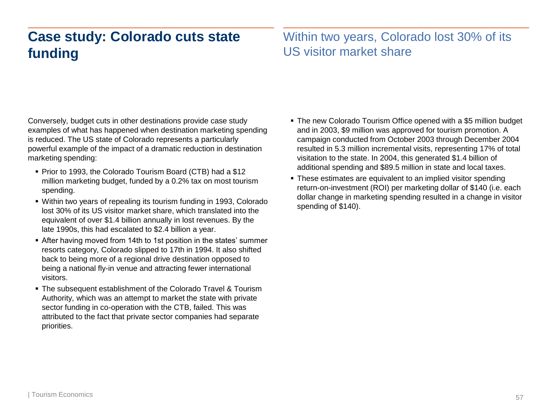# **Case study: Colorado cuts state funding**

### Within two years, Colorado lost 30% of its US visitor market share

Conversely, budget cuts in other destinations provide case study examples of what has happened when destination marketing spending is reduced. The US state of Colorado represents a particularly powerful example of the impact of a dramatic reduction in destination marketing spending:

- Prior to 1993, the Colorado Tourism Board (CTB) had a \$12 million marketing budget, funded by a 0.2% tax on most tourism spending.
- Within two years of repealing its tourism funding in 1993, Colorado lost 30% of its US visitor market share, which translated into the equivalent of over \$1.4 billion annually in lost revenues. By the late 1990s, this had escalated to \$2.4 billion a year.
- After having moved from 14th to 1st position in the states' summer resorts category, Colorado slipped to 17th in 1994. It also shifted back to being more of a regional drive destination opposed to being a national fly-in venue and attracting fewer international visitors.
- **The subsequent establishment of the Colorado Travel & Tourism** Authority, which was an attempt to market the state with private sector funding in co-operation with the CTB, failed. This was attributed to the fact that private sector companies had separate priorities.
- The new Colorado Tourism Office opened with a \$5 million budget and in 2003, \$9 million was approved for tourism promotion. A campaign conducted from October 2003 through December 2004 resulted in 5.3 million incremental visits, representing 17% of total visitation to the state. In 2004, this generated \$1.4 billion of additional spending and \$89.5 million in state and local taxes.
- These estimates are equivalent to an implied visitor spending return-on-investment (ROI) per marketing dollar of \$140 (i.e. each dollar change in marketing spending resulted in a change in visitor spending of \$140).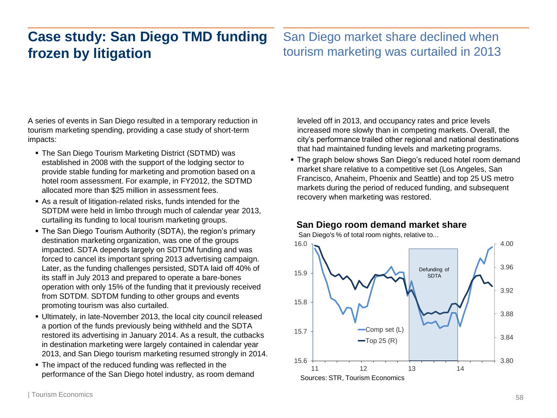# **Case study: San Diego TMD funding frozen by litigation**

### San Diego market share declined when tourism marketing was curtailed in 2013

A series of events in San Diego resulted in a temporary reduction in tourism marketing spending, providing a case study of short-term impacts:

- The San Diego Tourism Marketing District (SDTMD) was established in 2008 with the support of the lodging sector to provide stable funding for marketing and promotion based on a hotel room assessment. For example, in FY2012, the SDTMD allocated more than \$25 million in assessment fees.
- As a result of litigation-related risks, funds intended for the SDTDM were held in limbo through much of calendar year 2013, curtailing its funding to local tourism marketing groups.
- The San Diego Tourism Authority (SDTA), the region's primary destination marketing organization, was one of the groups impacted. SDTA depends largely on SDTDM funding and was forced to cancel its important spring 2013 advertising campaign. Later, as the funding challenges persisted, SDTA laid off 40% of its staff in July 2013 and prepared to operate a bare-bones operation with only 15% of the funding that it previously received from SDTDM. SDTDM funding to other groups and events promoting tourism was also curtailed.
- Ultimately, in late-November 2013, the local city council released a portion of the funds previously being withheld and the SDTA restored its advertising in January 2014. As a result, the cutbacks in destination marketing were largely contained in calendar year 2013, and San Diego tourism marketing resumed strongly in 2014.
- The impact of the reduced funding was reflected in the performance of the San Diego hotel industry, as room demand

leveled off in 2013, and occupancy rates and price levels increased more slowly than in competing markets. Overall, the city's performance trailed other regional and national destinations that had maintained funding levels and marketing programs.

 The graph below shows San Diego's reduced hotel room demand market share relative to a competitive set (Los Angeles, San Francisco, Anaheim, Phoenix and Seattle) and top 25 US metro markets during the period of reduced funding, and subsequent recovery when marketing was restored.



### **San Diego room demand market share**

San Diego's % of total room nights, relative to...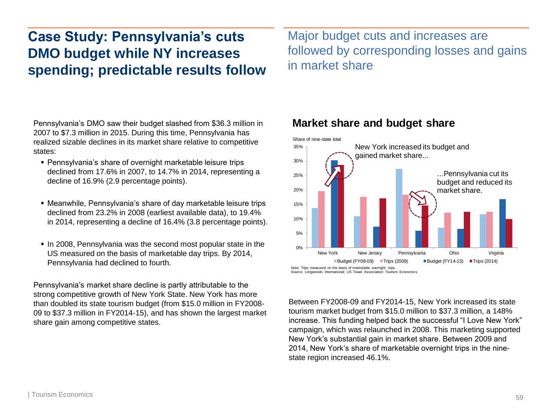# **Case Study: Pennsylvania's cuts DMO budget while NY increases spending; predictable results follow**

Major budget cuts and increases are followed by corresponding losses and gains in market share

Pennsylvania's DMO saw their budget slashed from \$36.3 million in 2007 to \$7.3 million in 2015. During this time, Pennsylvania has realized sizable declines in its market share relative to competitive states:

- Pennsylvania's share of overnight marketable leisure trips declined from 17.6% in 2007, to 14.7% in 2014, representing a decline of 16.9% (2.9 percentage points).
- Meanwhile, Pennsylvania's share of day marketable leisure trips declined from 23.2% in 2008 (earliest available data), to 19.4% in 2014, representing a decline of 16.4% (3.8 percentage points).
- In 2008, Pennsylvania was the second most popular state in the US measured on the basis of marketable day trips. By 2014, Pennsylvania had declined to fourth.

Pennsylvania's market share decline is partly attributable to the strong competitive growth of New York State. New York has more than doubled its state tourism budget (from \$15.0 million in FY2008- 09 to \$37.3 million in FY2014-15), and has shown the largest market share gain among competitive states.



### **Market share and budget share**

Note: Trips measured on the basis of marketable overnight trips. Source: Longwoods International; US Travel Association; Tourism Economics

Between FY2008-09 and FY2014-15, New York increased its state tourism market budget from \$15.0 million to \$37.3 million, a 148% increase. This funding helped back the successful "I Love New York" campaign, which was relaunched in 2008. This marketing supported New York's substantial gain in market share. Between 2009 and 2014, New York's share of marketable overnight trips in the ninestate region increased 46.1%.